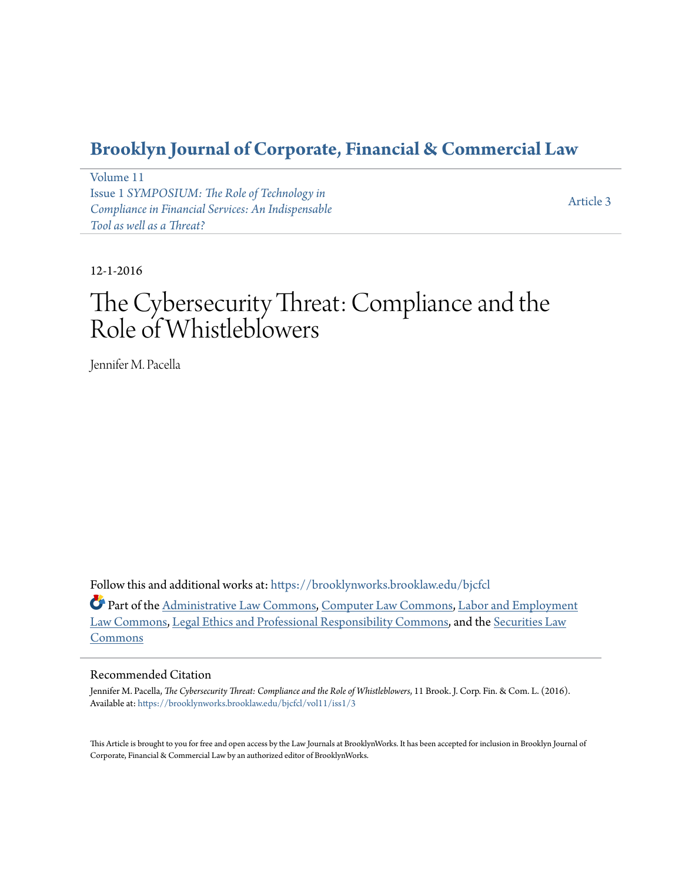# **[Brooklyn Journal of Corporate, Financial & Commercial Law](https://brooklynworks.brooklaw.edu/bjcfcl?utm_source=brooklynworks.brooklaw.edu%2Fbjcfcl%2Fvol11%2Fiss1%2F3&utm_medium=PDF&utm_campaign=PDFCoverPages)**

[Volume 11](https://brooklynworks.brooklaw.edu/bjcfcl/vol11?utm_source=brooklynworks.brooklaw.edu%2Fbjcfcl%2Fvol11%2Fiss1%2F3&utm_medium=PDF&utm_campaign=PDFCoverPages) Issue 1 *[SYMPOSIUM: The Role of Technology in](https://brooklynworks.brooklaw.edu/bjcfcl/vol11/iss1?utm_source=brooklynworks.brooklaw.edu%2Fbjcfcl%2Fvol11%2Fiss1%2F3&utm_medium=PDF&utm_campaign=PDFCoverPages) [Compliance in Financial Services: An Indispensable](https://brooklynworks.brooklaw.edu/bjcfcl/vol11/iss1?utm_source=brooklynworks.brooklaw.edu%2Fbjcfcl%2Fvol11%2Fiss1%2F3&utm_medium=PDF&utm_campaign=PDFCoverPages) [Tool as well as a Threat?](https://brooklynworks.brooklaw.edu/bjcfcl/vol11/iss1?utm_source=brooklynworks.brooklaw.edu%2Fbjcfcl%2Fvol11%2Fiss1%2F3&utm_medium=PDF&utm_campaign=PDFCoverPages)*

[Article 3](https://brooklynworks.brooklaw.edu/bjcfcl/vol11/iss1/3?utm_source=brooklynworks.brooklaw.edu%2Fbjcfcl%2Fvol11%2Fiss1%2F3&utm_medium=PDF&utm_campaign=PDFCoverPages)

12-1-2016

# The Cybersecurity Threat: Compliance and the Role of Whistleblowers

Jennifer M. Pacella

Follow this and additional works at: [https://brooklynworks.brooklaw.edu/bjcfcl](https://brooklynworks.brooklaw.edu/bjcfcl?utm_source=brooklynworks.brooklaw.edu%2Fbjcfcl%2Fvol11%2Fiss1%2F3&utm_medium=PDF&utm_campaign=PDFCoverPages)

Part of the [Administrative Law Commons,](http://network.bepress.com/hgg/discipline/579?utm_source=brooklynworks.brooklaw.edu%2Fbjcfcl%2Fvol11%2Fiss1%2F3&utm_medium=PDF&utm_campaign=PDFCoverPages) [Computer Law Commons,](http://network.bepress.com/hgg/discipline/837?utm_source=brooklynworks.brooklaw.edu%2Fbjcfcl%2Fvol11%2Fiss1%2F3&utm_medium=PDF&utm_campaign=PDFCoverPages) [Labor and Employment](http://network.bepress.com/hgg/discipline/909?utm_source=brooklynworks.brooklaw.edu%2Fbjcfcl%2Fvol11%2Fiss1%2F3&utm_medium=PDF&utm_campaign=PDFCoverPages) [Law Commons](http://network.bepress.com/hgg/discipline/909?utm_source=brooklynworks.brooklaw.edu%2Fbjcfcl%2Fvol11%2Fiss1%2F3&utm_medium=PDF&utm_campaign=PDFCoverPages), [Legal Ethics and Professional Responsibility Commons,](http://network.bepress.com/hgg/discipline/895?utm_source=brooklynworks.brooklaw.edu%2Fbjcfcl%2Fvol11%2Fiss1%2F3&utm_medium=PDF&utm_campaign=PDFCoverPages) and the [Securities Law](http://network.bepress.com/hgg/discipline/619?utm_source=brooklynworks.brooklaw.edu%2Fbjcfcl%2Fvol11%2Fiss1%2F3&utm_medium=PDF&utm_campaign=PDFCoverPages) [Commons](http://network.bepress.com/hgg/discipline/619?utm_source=brooklynworks.brooklaw.edu%2Fbjcfcl%2Fvol11%2Fiss1%2F3&utm_medium=PDF&utm_campaign=PDFCoverPages)

# Recommended Citation

Jennifer M. Pacella, *The Cybersecurity Threat: Compliance and the Role of Whistleblowers*, 11 Brook. J. Corp. Fin. & Com. L. (2016). Available at: [https://brooklynworks.brooklaw.edu/bjcfcl/vol11/iss1/3](https://brooklynworks.brooklaw.edu/bjcfcl/vol11/iss1/3?utm_source=brooklynworks.brooklaw.edu%2Fbjcfcl%2Fvol11%2Fiss1%2F3&utm_medium=PDF&utm_campaign=PDFCoverPages)

This Article is brought to you for free and open access by the Law Journals at BrooklynWorks. It has been accepted for inclusion in Brooklyn Journal of Corporate, Financial & Commercial Law by an authorized editor of BrooklynWorks.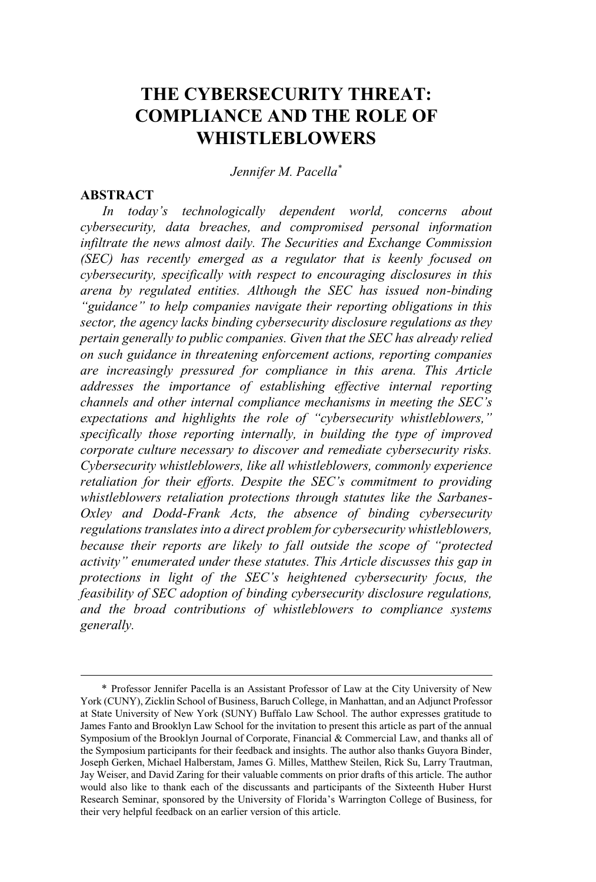# **THE CYBERSECURITY THREAT: COMPLIANCE AND THE ROLE OF WHISTLEBLOWERS**

*Jennifer M. Pacella\**

## **ABSTRACT**

*In today's technologically dependent world, concerns about cybersecurity, data breaches, and compromised personal information infiltrate the news almost daily. The Securities and Exchange Commission (SEC) has recently emerged as a regulator that is keenly focused on cybersecurity, specifically with respect to encouraging disclosures in this arena by regulated entities. Although the SEC has issued non-binding "guidance" to help companies navigate their reporting obligations in this sector, the agency lacks binding cybersecurity disclosure regulations as they pertain generally to public companies. Given that the SEC has already relied on such guidance in threatening enforcement actions, reporting companies are increasingly pressured for compliance in this arena. This Article addresses the importance of establishing effective internal reporting channels and other internal compliance mechanisms in meeting the SEC's expectations and highlights the role of "cybersecurity whistleblowers," specifically those reporting internally, in building the type of improved corporate culture necessary to discover and remediate cybersecurity risks. Cybersecurity whistleblowers, like all whistleblowers, commonly experience retaliation for their efforts. Despite the SEC's commitment to providing whistleblowers retaliation protections through statutes like the Sarbanes-Oxley and Dodd-Frank Acts, the absence of binding cybersecurity regulationstranslatesinto a direct problem for cybersecurity whistleblowers, because their reports are likely to fall outside the scope of "protected activity" enumerated under these statutes. This Article discusses this gap in protections in light of the SEC's heightened cybersecurity focus, the feasibility of SEC adoption of binding cybersecurity disclosure regulations, and the broad contributions of whistleblowers to compliance systems generally.*

<sup>\*</sup> Professor Jennifer Pacella is an Assistant Professor of Law at the City University of New York (CUNY), Zicklin School of Business, Baruch College, in Manhattan, and an Adjunct Professor at State University of New York (SUNY) Buffalo Law School. The author expresses gratitude to James Fanto and Brooklyn Law School for the invitation to present this article as part of the annual Symposium of the Brooklyn Journal of Corporate, Financial & Commercial Law, and thanks all of the Symposium participants for their feedback and insights. The author also thanks Guyora Binder, Joseph Gerken, Michael Halberstam, James G. Milles, Matthew Steilen, Rick Su, Larry Trautman, Jay Weiser, and David Zaring for their valuable comments on prior drafts of this article. The author would also like to thank each of the discussants and participants of the Sixteenth Huber Hurst Research Seminar, sponsored by the University of Florida's Warrington College of Business, for their very helpful feedback on an earlier version of this article.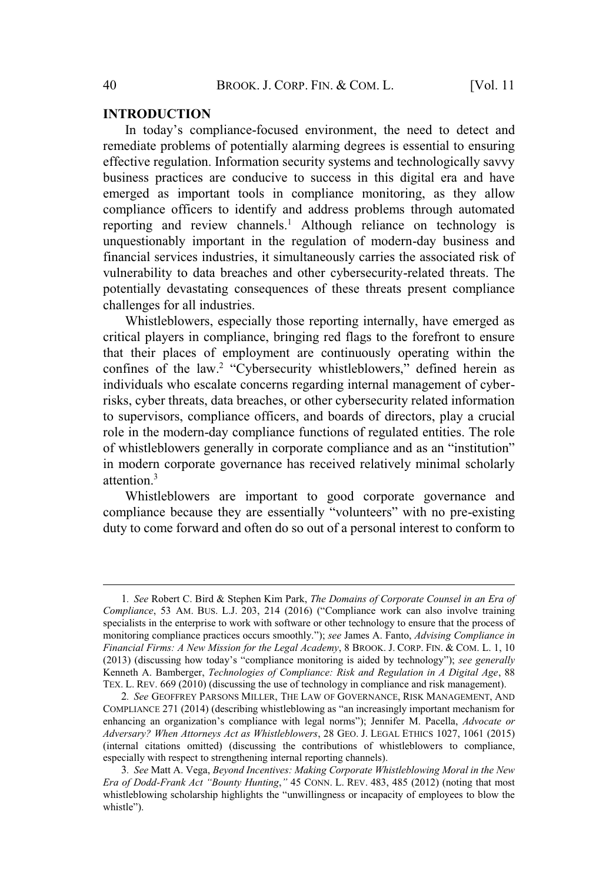#### **INTRODUCTION**

In today's compliance-focused environment, the need to detect and remediate problems of potentially alarming degrees is essential to ensuring effective regulation. Information security systems and technologically savvy business practices are conducive to success in this digital era and have emerged as important tools in compliance monitoring, as they allow compliance officers to identify and address problems through automated reporting and review channels.<sup>1</sup> Although reliance on technology is unquestionably important in the regulation of modern-day business and financial services industries, it simultaneously carries the associated risk of vulnerability to data breaches and other cybersecurity-related threats. The potentially devastating consequences of these threats present compliance challenges for all industries.

Whistleblowers, especially those reporting internally, have emerged as critical players in compliance, bringing red flags to the forefront to ensure that their places of employment are continuously operating within the confines of the law.<sup>2</sup> "Cybersecurity whistleblowers," defined herein as individuals who escalate concerns regarding internal management of cyberrisks, cyber threats, data breaches, or other cybersecurity related information to supervisors, compliance officers, and boards of directors, play a crucial role in the modern-day compliance functions of regulated entities. The role of whistleblowers generally in corporate compliance and as an "institution" in modern corporate governance has received relatively minimal scholarly attention $3$ 

Whistleblowers are important to good corporate governance and compliance because they are essentially "volunteers" with no pre-existing duty to come forward and often do so out of a personal interest to conform to

<sup>1</sup>*. See* Robert C. Bird & Stephen Kim Park, *The Domains of Corporate Counsel in an Era of Compliance*, 53 AM. BUS. L.J. 203, 214 (2016) ("Compliance work can also involve training specialists in the enterprise to work with software or other technology to ensure that the process of monitoring compliance practices occurs smoothly."); *see* James A. Fanto, *Advising Compliance in Financial Firms: A New Mission for the Legal Academy*, 8 BROOK. J. CORP. FIN. & COM. L. 1, 10 (2013) (discussing how today's "compliance monitoring is aided by technology"); *see generally* Kenneth A. Bamberger, *Technologies of Compliance: Risk and Regulation in A Digital Age*, 88 TEX. L. REV. 669 (2010) (discussing the use of technology in compliance and risk management).

<sup>2</sup>*. See* GEOFFREY PARSONS MILLER, THE LAW OF GOVERNANCE, RISK MANAGEMENT, AND COMPLIANCE 271 (2014) (describing whistleblowing as "an increasingly important mechanism for enhancing an organization's compliance with legal norms"); Jennifer M. Pacella, *Advocate or Adversary? When Attorneys Act as Whistleblowers*, 28 GEO. J. LEGAL ETHICS 1027, 1061 (2015) (internal citations omitted) (discussing the contributions of whistleblowers to compliance, especially with respect to strengthening internal reporting channels).

<sup>3</sup>*. See* Matt A. Vega, *Beyond Incentives: Making Corporate Whistleblowing Moral in the New Era of Dodd-Frank Act "Bounty Hunting*,*"* 45 CONN. L. REV. 483, 485 (2012) (noting that most whistleblowing scholarship highlights the "unwillingness or incapacity of employees to blow the whistle").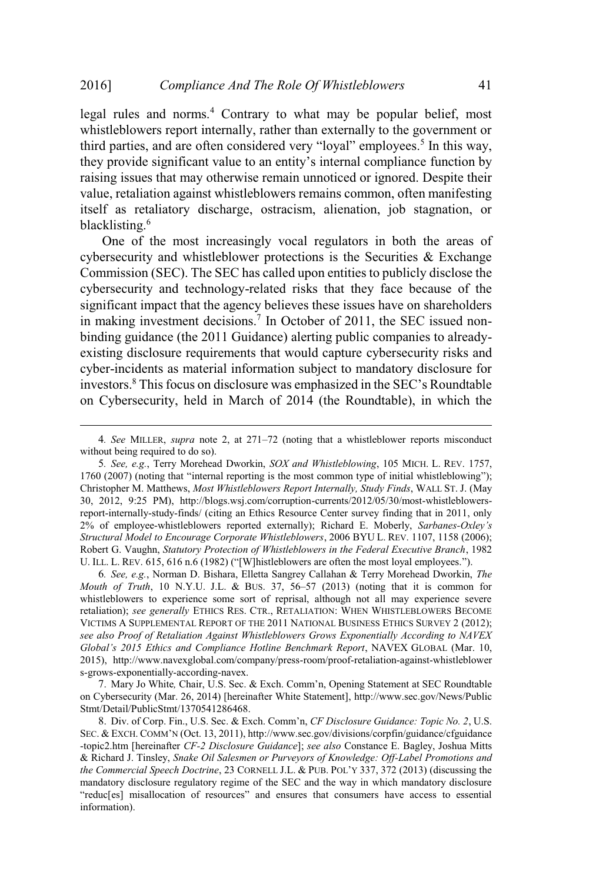legal rules and norms.<sup>4</sup> Contrary to what may be popular belief, most whistleblowers report internally, rather than externally to the government or third parties, and are often considered very "loyal" employees.<sup>5</sup> In this way, they provide significant value to an entity's internal compliance function by raising issues that may otherwise remain unnoticed or ignored. Despite their value, retaliation against whistleblowers remains common, often manifesting itself as retaliatory discharge, ostracism, alienation, job stagnation, or blacklisting.<sup>6</sup>

One of the most increasingly vocal regulators in both the areas of cybersecurity and whistleblower protections is the Securities & Exchange Commission (SEC). The SEC has called upon entities to publicly disclose the cybersecurity and technology-related risks that they face because of the significant impact that the agency believes these issues have on shareholders in making investment decisions.<sup>7</sup> In October of 2011, the SEC issued nonbinding guidance (the 2011 Guidance) alerting public companies to alreadyexisting disclosure requirements that would capture cybersecurity risks and cyber-incidents as material information subject to mandatory disclosure for investors.<sup>8</sup> This focus on disclosure was emphasized in the SEC's Roundtable on Cybersecurity, held in March of 2014 (the Roundtable), in which the

6*. See, e.g.*, Norman D. Bishara, Elletta Sangrey Callahan & Terry Morehead Dworkin, *The Mouth of Truth*, 10 N.Y.U. J.L. & BUS. 37, 56–57 (2013) (noting that it is common for whistleblowers to experience some sort of reprisal, although not all may experience severe retaliation); *see generally* ETHICS RES. CTR., RETALIATION: WHEN WHISTLEBLOWERS BECOME VICTIMS A SUPPLEMENTAL REPORT OF THE 2011 NATIONAL BUSINESS ETHICS SURVEY 2 (2012); *see also Proof of Retaliation Against Whistleblowers Grows Exponentially According to NAVEX Global's 2015 Ethics and Compliance Hotline Benchmark Report*, NAVEX GLOBAL (Mar. 10, 2015), http://www.navexglobal.com/company/press-room/proof-retaliation-against-whistleblower s-grows-exponentially-according-navex.

7. Mary Jo White*,* Chair, U.S. Sec. & Exch. Comm'n, Opening Statement at SEC Roundtable on Cybersecurity (Mar. 26, 2014) [hereinafter White Statement], http://www.sec.gov/News/Public Stmt/Detail/PublicStmt/1370541286468.

8. Div. of Corp. Fin., U.S. Sec. & Exch. Comm'n, *CF Disclosure Guidance: Topic No. 2*, U.S. SEC. & EXCH. COMM'N (Oct. 13, 2011), http://www.sec.gov/divisions/corpfin/guidance/cfguidance -topic2.htm [hereinafter *CF-2 Disclosure Guidance*]; *see also* Constance E. Bagley, Joshua Mitts & Richard J. Tinsley, *Snake Oil Salesmen or Purveyors of Knowledge: Off-Label Promotions and the Commercial Speech Doctrine*, 23 CORNELL J.L. & PUB. POL'<sup>Y</sup> 337, 372 (2013) (discussing the mandatory disclosure regulatory regime of the SEC and the way in which mandatory disclosure "reduc[es] misallocation of resources" and ensures that consumers have access to essential information).

<sup>4</sup>*. See* MILLER, *supra* note 2, at 271–72 (noting that a whistleblower reports misconduct without being required to do so).

<sup>5</sup>*. See, e.g.*, Terry Morehead Dworkin, *SOX and Whistleblowing*, 105 MICH. L. REV. 1757, 1760 (2007) (noting that "internal reporting is the most common type of initial whistleblowing"); Christopher M. Matthews, *Most Whistleblowers Report Internally, Study Finds*, WALL ST. J. (May 30, 2012, 9:25 PM), http://blogs.wsj.com/corruption-currents/2012/05/30/most-whistleblowersreport-internally-study-finds/ (citing an Ethics Resource Center survey finding that in 2011, only 2% of employee-whistleblowers reported externally); Richard E. Moberly, *Sarbanes-Oxley's Structural Model to Encourage Corporate Whistleblowers*, 2006 BYU L. REV. 1107, 1158 (2006); Robert G. Vaughn, *Statutory Protection of Whistleblowers in the Federal Executive Branch*, 1982 U. ILL. L. REV. 615, 616 n.6 (1982) ("[W]histleblowers are often the most loyal employees.").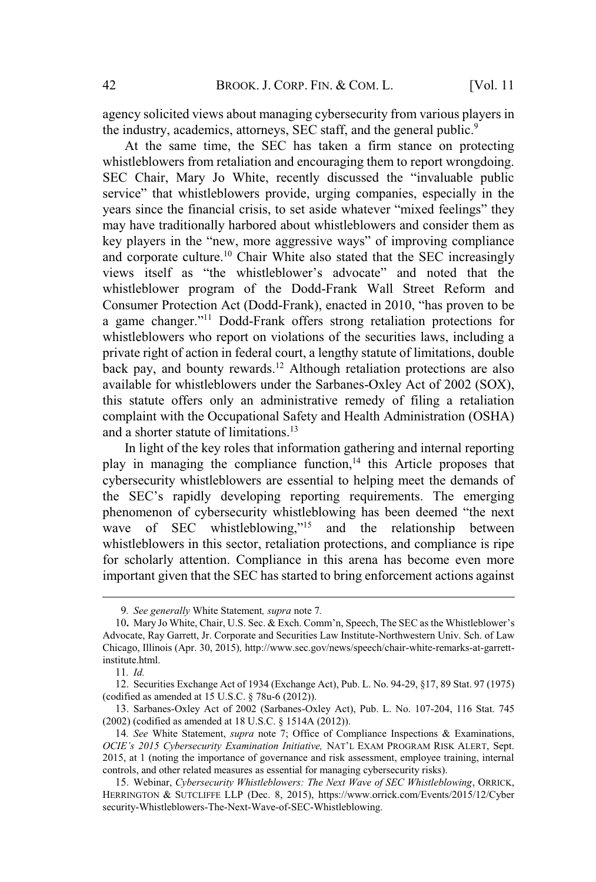agency solicited views about managing cybersecurity from various players in the industry, academics, attorneys, SEC staff, and the general public.<sup>9</sup>

At the same time, the SEC has taken a firm stance on protecting whistleblowers from retaliation and encouraging them to report wrongdoing. SEC Chair, Mary Jo White, recently discussed the "invaluable public service" that whistleblowers provide, urging companies, especially in the years since the financial crisis, to set aside whatever "mixed feelings" they may have traditionally harbored about whistleblowers and consider them as key players in the "new, more aggressive ways" of improving compliance and corporate culture.<sup>10</sup> Chair White also stated that the SEC increasingly views itself as "the whistleblower's advocate" and noted that the whistleblower program of the Dodd-Frank Wall Street Reform and Consumer Protection Act (Dodd-Frank), enacted in 2010, "has proven to be a game changer."<sup>11</sup> Dodd-Frank offers strong retaliation protections for whistleblowers who report on violations of the securities laws, including a private right of action in federal court, a lengthy statute of limitations, double back pay, and bounty rewards.<sup>12</sup> Although retaliation protections are also available for whistleblowers under the Sarbanes-Oxley Act of 2002 (SOX), this statute offers only an administrative remedy of filing a retaliation complaint with the Occupational Safety and Health Administration (OSHA) and a shorter statute of limitations.<sup>13</sup>

In light of the key roles that information gathering and internal reporting play in managing the compliance function,<sup>14</sup> this Article proposes that cybersecurity whistleblowers are essential to helping meet the demands of the SEC's rapidly developing reporting requirements. The emerging phenomenon of cybersecurity whistleblowing has been deemed "the next wave of SEC whistleblowing,"<sup>15</sup> and the relationship between whistleblowers in this sector, retaliation protections, and compliance is ripe for scholarly attention. Compliance in this arena has become even more important given that the SEC has started to bring enforcement actions against

13. Sarbanes-Oxley Act of 2002 (Sarbanes-Oxley Act), Pub. L. No. 107-204, 116 Stat. 745 (2002) (codified as amended at 18 U.S.C. § 1514A (2012)).

<sup>9</sup>*. See generally* White Statement*, supra* note 7*.*

<sup>10</sup>**.** Mary Jo White, Chair, U.S. Sec. & Exch. Comm'n, Speech, The SEC as the Whistleblower's Advocate, Ray Garrett, Jr. Corporate and Securities Law Institute-Northwestern Univ. Sch. of Law Chicago, Illinois (Apr. 30, 2015)*,* http://www.sec.gov/news/speech/chair-white-remarks-at-garrettinstitute.html.

<sup>11</sup>*. Id.*

<sup>12</sup>. Securities Exchange Act of 1934 (Exchange Act), Pub. L. No. 94-29, §17, 89 Stat. 97 (1975) (codified as amended at 15 U.S.C. § 78u-6 (2012)).

<sup>14</sup>*. See* White Statement, *supra* note 7; Office of Compliance Inspections & Examinations, *OCIE's 2015 Cybersecurity Examination Initiative,* NAT'<sup>L</sup> EXAM PROGRAM RISK ALERT, Sept. 2015, at 1 (noting the importance of governance and risk assessment, employee training, internal controls, and other related measures as essential for managing cybersecurity risks).

<sup>15</sup>. Webinar, *Cybersecurity Whistleblowers: The Next Wave of SEC Whistleblowing*, ORRICK, HERRINGTON & SUTCLIFFE LLP (Dec. 8, 2015), https://www.orrick.com/Events/2015/12/Cyber security-Whistleblowers-The-Next-Wave-of-SEC-Whistleblowing.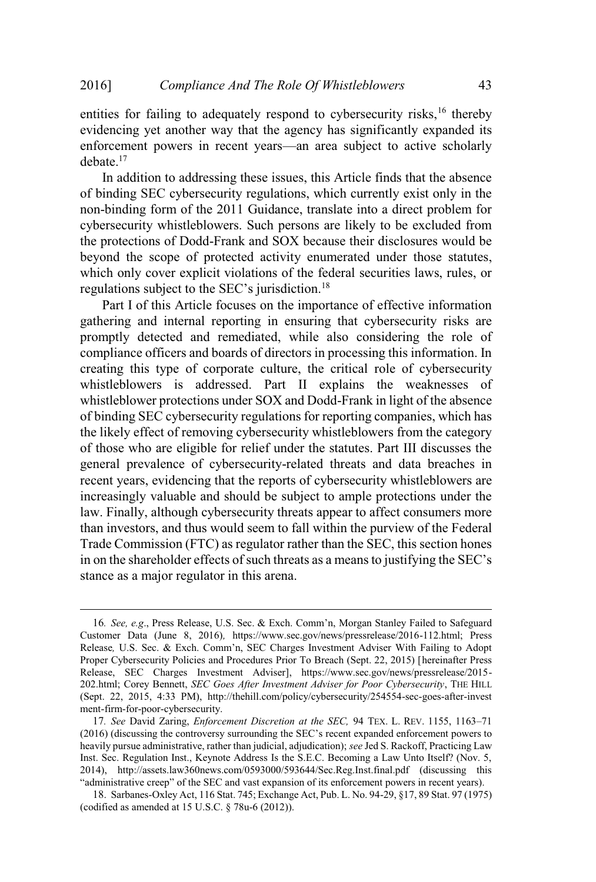entities for failing to adequately respond to cybersecurity risks, $16$  thereby evidencing yet another way that the agency has significantly expanded its enforcement powers in recent years—an area subject to active scholarly debate.<sup>17</sup>

In addition to addressing these issues, this Article finds that the absence of binding SEC cybersecurity regulations, which currently exist only in the non-binding form of the 2011 Guidance, translate into a direct problem for cybersecurity whistleblowers. Such persons are likely to be excluded from the protections of Dodd-Frank and SOX because their disclosures would be beyond the scope of protected activity enumerated under those statutes, which only cover explicit violations of the federal securities laws, rules, or regulations subject to the SEC's jurisdiction.<sup>18</sup>

Part I of this Article focuses on the importance of effective information gathering and internal reporting in ensuring that cybersecurity risks are promptly detected and remediated, while also considering the role of compliance officers and boards of directors in processing this information. In creating this type of corporate culture, the critical role of cybersecurity whistleblowers is addressed. Part II explains the weaknesses of whistleblower protections under SOX and Dodd-Frank in light of the absence of binding SEC cybersecurity regulations for reporting companies, which has the likely effect of removing cybersecurity whistleblowers from the category of those who are eligible for relief under the statutes. Part III discusses the general prevalence of cybersecurity-related threats and data breaches in recent years, evidencing that the reports of cybersecurity whistleblowers are increasingly valuable and should be subject to ample protections under the law. Finally, although cybersecurity threats appear to affect consumers more than investors, and thus would seem to fall within the purview of the Federal Trade Commission (FTC) as regulator rather than the SEC, this section hones in on the shareholder effects of such threats as a meansto justifying the SEC's stance as a major regulator in this arena.

<sup>16</sup>*. See, e.g*., Press Release, U.S. Sec. & Exch. Comm'n, Morgan Stanley Failed to Safeguard Customer Data (June 8, 2016)*,* https://www.sec.gov/news/pressrelease/2016-112.html; Press Release*,* U.S. Sec. & Exch. Comm'n, SEC Charges Investment Adviser With Failing to Adopt Proper Cybersecurity Policies and Procedures Prior To Breach (Sept. 22, 2015) [hereinafter Press Release, SEC Charges Investment Adviser], https://www.sec.gov/news/pressrelease/2015- 202.html; Corey Bennett, *SEC Goes After Investment Adviser for Poor Cybersecurity*, THE HILL (Sept. 22, 2015, 4:33 PM), http://thehill.com/policy/cybersecurity/254554-sec-goes-after-invest ment-firm-for-poor-cybersecurity.

<sup>17</sup>*. See* David Zaring, *Enforcement Discretion at the SEC,* 94 TEX. L. REV. 1155, 1163–71 (2016) (discussing the controversy surrounding the SEC's recent expanded enforcement powers to heavily pursue administrative, rather than judicial, adjudication); *see* Jed S. Rackoff, Practicing Law Inst. Sec. Regulation Inst., Keynote Address Is the S.E.C. Becoming a Law Unto Itself? (Nov. 5, 2014), http://assets.law360news.com/0593000/593644/Sec.Reg.Inst.final.pdf (discussing this "administrative creep" of the SEC and vast expansion of its enforcement powers in recent years).

<sup>18</sup>. Sarbanes-Oxley Act, 116 Stat. 745; Exchange Act, Pub. L. No. 94-29, §17, 89 Stat. 97 (1975) (codified as amended at 15 U.S.C. § 78u-6 (2012)).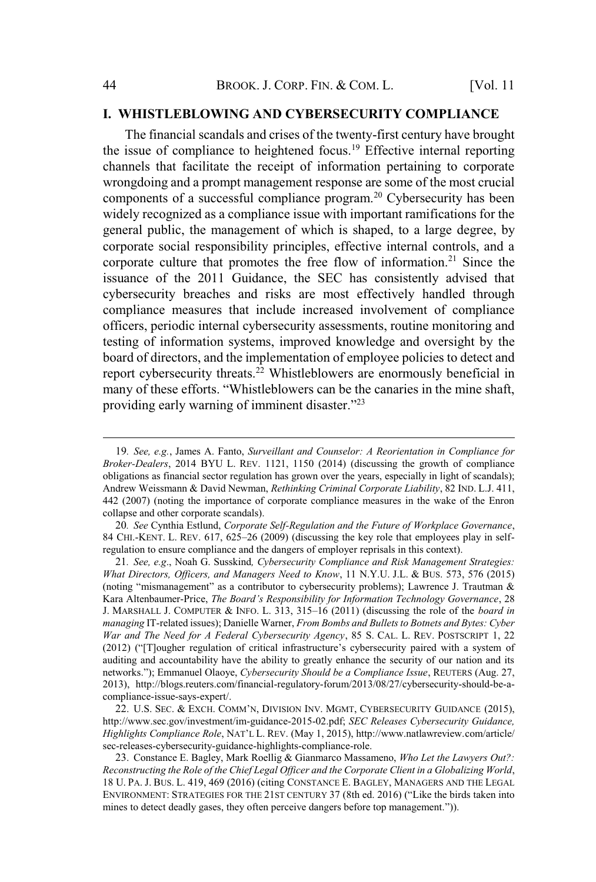## **I. WHISTLEBLOWING AND CYBERSECURITY COMPLIANCE**

The financial scandals and crises of the twenty-first century have brought the issue of compliance to heightened focus.<sup>19</sup> Effective internal reporting channels that facilitate the receipt of information pertaining to corporate wrongdoing and a prompt management response are some of the most crucial components of a successful compliance program.<sup>20</sup> Cybersecurity has been widely recognized as a compliance issue with important ramifications for the general public, the management of which is shaped, to a large degree, by corporate social responsibility principles, effective internal controls, and a corporate culture that promotes the free flow of information.<sup>21</sup> Since the issuance of the 2011 Guidance, the SEC has consistently advised that cybersecurity breaches and risks are most effectively handled through compliance measures that include increased involvement of compliance officers, periodic internal cybersecurity assessments, routine monitoring and testing of information systems, improved knowledge and oversight by the board of directors, and the implementation of employee policies to detect and report cybersecurity threats.<sup>22</sup> Whistleblowers are enormously beneficial in many of these efforts. "Whistleblowers can be the canaries in the mine shaft, providing early warning of imminent disaster."<sup>23</sup>

20*. See* Cynthia Estlund, *Corporate Self-Regulation and the Future of Workplace Governance*, 84 CHI.-KENT. L. REV. 617, 625–26 (2009) (discussing the key role that employees play in selfregulation to ensure compliance and the dangers of employer reprisals in this context).

22. U.S. SEC. & EXCH. COMM'N, DIVISION INV. MGMT, CYBERSECURITY GUIDANCE (2015), http://www.sec.gov/investment/im-guidance-2015-02.pdf; *SEC Releases Cybersecurity Guidance, Highlights Compliance Role*, NAT'<sup>L</sup> L. REV. (May 1, 2015), http://www.natlawreview.com/article/ sec-releases-cybersecurity-guidance-highlights-compliance-role.

23. Constance E. Bagley, Mark Roellig & Gianmarco Massameno, *Who Let the Lawyers Out?: Reconstructing the Role of the Chief Legal Officer and the Corporate Client in a Globalizing World*, 18 U. PA. J. BUS. L. 419, 469 (2016) (citing CONSTANCE E. BAGLEY, MANAGERS AND THE LEGAL ENVIRONMENT: STRATEGIES FOR THE 21ST CENTURY 37 (8th ed. 2016) ("Like the birds taken into mines to detect deadly gases, they often perceive dangers before top management.")).

<sup>19</sup>*. See, e.g.*, James A. Fanto, *Surveillant and Counselor: A Reorientation in Compliance for Broker-Dealers*, 2014 BYU L. REV. 1121, 1150 (2014) (discussing the growth of compliance obligations as financial sector regulation has grown over the years, especially in light of scandals); Andrew Weissmann & David Newman, *Rethinking Criminal Corporate Liability*, 82 IND. L.J. 411, 442 (2007) (noting the importance of corporate compliance measures in the wake of the Enron collapse and other corporate scandals).

<sup>21</sup>*. See, e.g*., Noah G. Susskind*, Cybersecurity Compliance and Risk Management Strategies: What Directors, Officers, and Managers Need to Know*, 11 N.Y.U. J.L. & BUS. 573, 576 (2015) (noting "mismanagement" as a contributor to cybersecurity problems); Lawrence J. Trautman & Kara Altenbaumer-Price, *The Board's Responsibility for Information Technology Governance*, 28 J. MARSHALL J. COMPUTER & INFO. L. 313, 315–16 (2011) (discussing the role of the *board in managing* IT-related issues); Danielle Warner, *From Bombs and Bullets to Botnets and Bytes: Cyber War and The Need for A Federal Cybersecurity Agency*, 85 S. CAL. L. REV. POSTSCRIPT 1, 22 (2012) ("[T]ougher regulation of critical infrastructure's cybersecurity paired with a system of auditing and accountability have the ability to greatly enhance the security of our nation and its networks."); Emmanuel Olaoye, *Cybersecurity Should be a Compliance Issue*, REUTERS (Aug. 27, 2013), http://blogs.reuters.com/financial-regulatory-forum/2013/08/27/cybersecurity-should-be-acompliance-issue-says-expert/.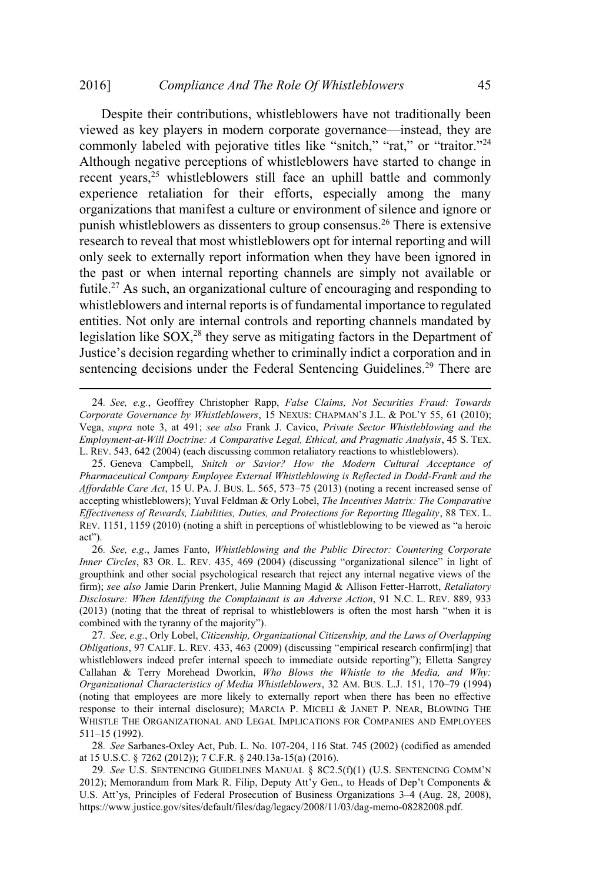#### 2016] *Compliance And The Role Of Whistleblowers* 45

Despite their contributions, whistleblowers have not traditionally been viewed as key players in modern corporate governance—instead, they are commonly labeled with pejorative titles like "snitch," "rat," or "traitor."<sup>24</sup> Although negative perceptions of whistleblowers have started to change in recent years,<sup>25</sup> whistleblowers still face an uphill battle and commonly experience retaliation for their efforts, especially among the many organizations that manifest a culture or environment of silence and ignore or punish whistleblowers as dissenters to group consensus.<sup>26</sup> There is extensive research to reveal that most whistleblowers opt for internal reporting and will only seek to externally report information when they have been ignored in the past or when internal reporting channels are simply not available or futile.<sup>27</sup> As such, an organizational culture of encouraging and responding to whistleblowers and internal reports is of fundamental importance to regulated entities. Not only are internal controls and reporting channels mandated by legislation like  $SOX<sub>1</sub><sup>28</sup>$  they serve as mitigating factors in the Department of Justice's decision regarding whether to criminally indict a corporation and in sentencing decisions under the Federal Sentencing Guidelines.<sup>29</sup> There are

<sup>24</sup>*. See, e.g.*, Geoffrey Christopher Rapp, *False Claims, Not Securities Fraud: Towards Corporate Governance by Whistleblowers*, 15 NEXUS: CHAPMAN'<sup>S</sup> J.L. & POL'<sup>Y</sup> 55, 61 (2010); Vega, *supra* note 3, at 491; *see also* Frank J. Cavico, *Private Sector Whistleblowing and the Employment-at-Will Doctrine: A Comparative Legal, Ethical, and Pragmatic Analysis*, 45 S. TEX. L. REV. 543, 642 (2004) (each discussing common retaliatory reactions to whistleblowers).

<sup>25</sup>. Geneva Campbell, *Snitch or Savior? How the Modern Cultural Acceptance of Pharmaceutical Company Employee External Whistleblowing is Reflected in Dodd-Frank and the Affordable Care Act*, 15 U. PA. J. BUS. L. 565, 573–75 (2013) (noting a recent increased sense of accepting whistleblowers); Yuval Feldman & Orly Lobel, *The Incentives Matrix: The Comparative Effectiveness of Rewards, Liabilities, Duties, and Protections for Reporting Illegality*, 88 TEX. L. REV. 1151, 1159 (2010) (noting a shift in perceptions of whistleblowing to be viewed as "a heroic act").

<sup>26</sup>*. See, e.g*., James Fanto, *Whistleblowing and the Public Director: Countering Corporate Inner Circles*, 83 OR. L. REV. 435, 469 (2004) (discussing "organizational silence" in light of groupthink and other social psychological research that reject any internal negative views of the firm); *see also* Jamie Darin Prenkert, Julie Manning Magid & Allison Fetter-Harrott, *Retaliatory Disclosure: When Identifying the Complainant is an Adverse Action*, 91 N.C. L. REV. 889, 933 (2013) (noting that the threat of reprisal to whistleblowers is often the most harsh "when it is combined with the tyranny of the majority").

<sup>27</sup>*. See, e.g.*, Orly Lobel, *Citizenship, Organizational Citizenship, and the Laws of Overlapping Obligations*, 97 CALIF. L. REV. 433, 463 (2009) (discussing "empirical research confirm[ing] that whistleblowers indeed prefer internal speech to immediate outside reporting"); Elletta Sangrey Callahan & Terry Morehead Dworkin, *Who Blows the Whistle to the Media, and Why: Organizational Characteristics of Media Whistleblowers*, 32 AM. BUS. L.J. 151, 170–79 (1994) (noting that employees are more likely to externally report when there has been no effective response to their internal disclosure); MARCIA P. MICELI & JANET P. NEAR, BLOWING THE WHISTLE THE ORGANIZATIONAL AND LEGAL IMPLICATIONS FOR COMPANIES AND EMPLOYEES 511–15 (1992).

<sup>28</sup>*. See* Sarbanes-Oxley Act, Pub. L. No. 107-204, 116 Stat. 745 (2002) (codified as amended at 15 U.S.C. § 7262 (2012)); 7 C.F.R. § 240.13a-15(a) (2016).

<sup>29</sup>*. See* U.S. SENTENCING GUIDELINES MANUAL § 8C2.5(f)(1) (U.S. SENTENCING COMM'<sup>N</sup> 2012); Memorandum from Mark R. Filip, Deputy Att'y Gen., to Heads of Dep't Components  $\&$ U.S. Att'ys, Principles of Federal Prosecution of Business Organizations 3–4 (Aug. 28, 2008), https://www.justice.gov/sites/default/files/dag/legacy/2008/11/03/dag-memo-08282008.pdf.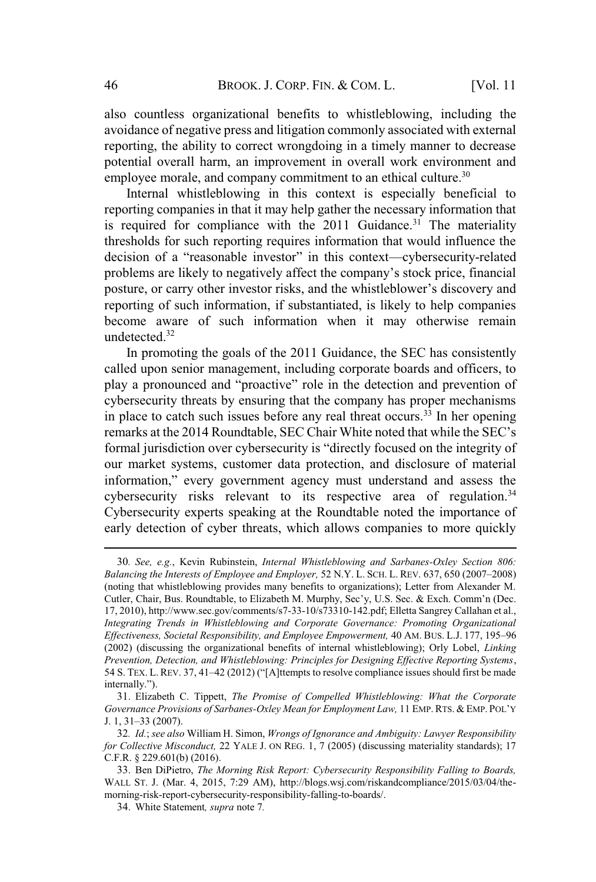also countless organizational benefits to whistleblowing, including the avoidance of negative press and litigation commonly associated with external reporting, the ability to correct wrongdoing in a timely manner to decrease potential overall harm, an improvement in overall work environment and employee morale, and company commitment to an ethical culture.<sup>30</sup>

Internal whistleblowing in this context is especially beneficial to reporting companies in that it may help gather the necessary information that is required for compliance with the  $2011$  Guidance.<sup>31</sup> The materiality thresholds for such reporting requires information that would influence the decision of a "reasonable investor" in this context—cybersecurity-related problems are likely to negatively affect the company's stock price, financial posture, or carry other investor risks, and the whistleblower's discovery and reporting of such information, if substantiated, is likely to help companies become aware of such information when it may otherwise remain undetected.<sup>32</sup>

In promoting the goals of the 2011 Guidance, the SEC has consistently called upon senior management, including corporate boards and officers, to play a pronounced and "proactive" role in the detection and prevention of cybersecurity threats by ensuring that the company has proper mechanisms in place to catch such issues before any real threat occurs.<sup>33</sup> In her opening remarks at the 2014 Roundtable, SEC Chair White noted that while the SEC's formal jurisdiction over cybersecurity is "directly focused on the integrity of our market systems, customer data protection, and disclosure of material information," every government agency must understand and assess the cybersecurity risks relevant to its respective area of regulation. $34$ Cybersecurity experts speaking at the Roundtable noted the importance of early detection of cyber threats, which allows companies to more quickly

<sup>30</sup>*. See, e.g.*, Kevin Rubinstein, *Internal Whistleblowing and Sarbanes-Oxley Section 806: Balancing the Interests of Employee and Employer,* 52 N.Y. L. SCH. L. REV. 637, 650 (2007–2008) (noting that whistleblowing provides many benefits to organizations); Letter from Alexander M. Cutler, Chair, Bus. Roundtable, to Elizabeth M. Murphy, Sec'y, U.S. Sec. & Exch. Comm'n (Dec. 17, 2010), http://www.sec.gov/comments/s7-33-10/s73310-142.pdf; Elletta Sangrey Callahan et al., *Integrating Trends in Whistleblowing and Corporate Governance: Promoting Organizational Effectiveness, Societal Responsibility, and Employee Empowerment,* 40 AM. BUS. L.J. 177, 195–96 (2002) (discussing the organizational benefits of internal whistleblowing); Orly Lobel, *Linking Prevention, Detection, and Whistleblowing: Principles for Designing Effective Reporting Systems*, 54 S. TEX. L. REV. 37, 41–42 (2012) ("[A]ttempts to resolve compliance issues should first be made internally.").

<sup>31</sup>. Elizabeth C. Tippett, *The Promise of Compelled Whistleblowing: What the Corporate Governance Provisions of Sarbanes-Oxley Mean for Employment Law,* 11 EMP. RTS. & EMP. POL'<sup>Y</sup> J. 1, 31–33 (2007).

<sup>32</sup>*. Id.*; *see also* William H. Simon, *Wrongs of Ignorance and Ambiguity: Lawyer Responsibility for Collective Misconduct,* 22 YALE J. ON REG. 1, 7 (2005) (discussing materiality standards); 17 C.F.R. § 229.601(b) (2016).

<sup>33</sup>. Ben DiPietro, *The Morning Risk Report: Cybersecurity Responsibility Falling to Boards,* WALL ST. J. (Mar. 4, 2015, 7:29 AM), http://blogs.wsj.com/riskandcompliance/2015/03/04/themorning-risk-report-cybersecurity-responsibility-falling-to-boards/.

<sup>34</sup>. White Statement*, supra* note 7*.*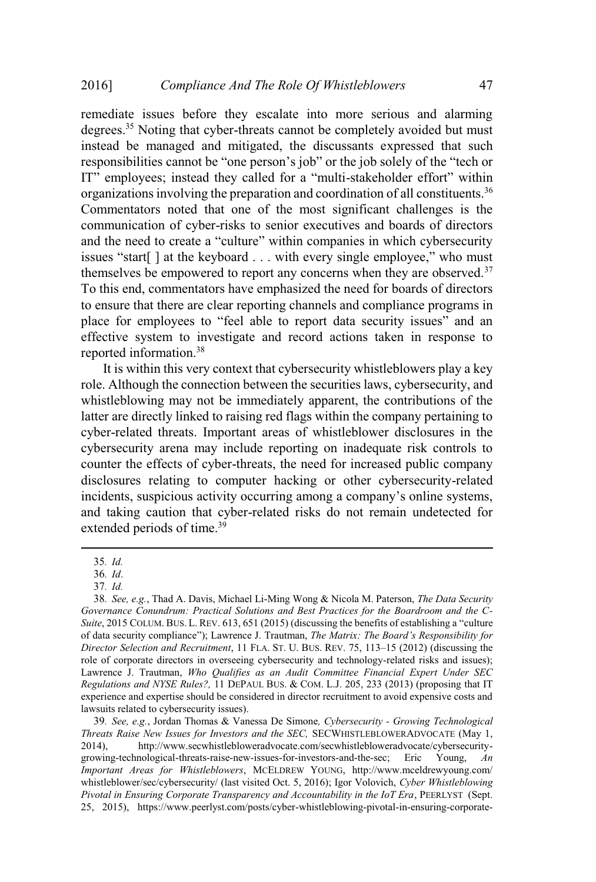remediate issues before they escalate into more serious and alarming degrees.<sup>35</sup> Noting that cyber-threats cannot be completely avoided but must instead be managed and mitigated, the discussants expressed that such responsibilities cannot be "one person's job" or the job solely of the "tech or IT" employees; instead they called for a "multi-stakeholder effort" within organizations involving the preparation and coordination of all constituents.<sup>36</sup> Commentators noted that one of the most significant challenges is the communication of cyber-risks to senior executives and boards of directors and the need to create a "culture" within companies in which cybersecurity issues "start[ ] at the keyboard . . . with every single employee," who must themselves be empowered to report any concerns when they are observed.<sup>37</sup> To this end, commentators have emphasized the need for boards of directors to ensure that there are clear reporting channels and compliance programs in place for employees to "feel able to report data security issues" and an effective system to investigate and record actions taken in response to reported information.<sup>38</sup>

It is within this very context that cybersecurity whistleblowers play a key role. Although the connection between the securities laws, cybersecurity, and whistleblowing may not be immediately apparent, the contributions of the latter are directly linked to raising red flags within the company pertaining to cyber-related threats. Important areas of whistleblower disclosures in the cybersecurity arena may include reporting on inadequate risk controls to counter the effects of cyber-threats, the need for increased public company disclosures relating to computer hacking or other cybersecurity-related incidents, suspicious activity occurring among a company's online systems, and taking caution that cyber-related risks do not remain undetected for extended periods of time.<sup>39</sup>

39*. See, e.g.*, Jordan Thomas & Vanessa De Simone*, Cybersecurity - Growing Technological Threats Raise New Issues for Investors and the SEC,* SECWHISTLEBLOWERADVOCATE (May 1, 2014), http://www.secwhistlebloweradvocate.com/secwhistlebloweradvocate/cybersecuritygrowing-technological-threats-raise-new-issues-for-investors-and-the-sec; Eric Young, *An Important Areas for Whistleblowers*, MCELDREW YOUNG, http://www.mceldrewyoung.com/ whistleblower/sec/cybersecurity/ (last visited Oct. 5, 2016); Igor Volovich, *Cyber Whistleblowing Pivotal in Ensuring Corporate Transparency and Accountability in the IoT Era*, PEERLYST (Sept. 25, 2015), https://www.peerlyst.com/posts/cyber-whistleblowing-pivotal-in-ensuring-corporate-

<sup>35</sup>*. Id.*

<sup>36</sup>*. Id*.

<sup>37</sup>*. Id.*

<sup>38</sup>*. See, e.g.*, Thad A. Davis, Michael Li-Ming Wong & Nicola M. Paterson, *The Data Security Governance Conundrum: Practical Solutions and Best Practices for the Boardroom and the C-Suite*, 2015 COLUM. BUS. L. REV. 613, 651 (2015) (discussing the benefits of establishing a "culture of data security compliance"); Lawrence J. Trautman, *The Matrix: The Board's Responsibility for Director Selection and Recruitment*, 11 FLA. ST. U. BUS. REV. 75, 113–15 (2012) (discussing the role of corporate directors in overseeing cybersecurity and technology-related risks and issues); Lawrence J. Trautman, *Who Qualifies as an Audit Committee Financial Expert Under SEC Regulations and NYSE Rules?,* 11 DEPAUL BUS. & COM. L.J. 205, 233 (2013) (proposing that IT experience and expertise should be considered in director recruitment to avoid expensive costs and lawsuits related to cybersecurity issues).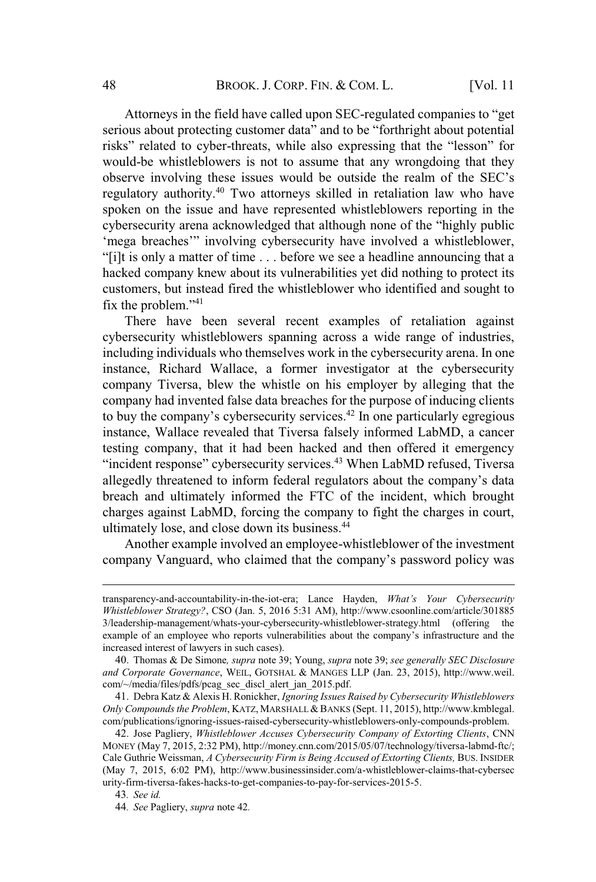Attorneys in the field have called upon SEC-regulated companies to "get serious about protecting customer data" and to be "forthright about potential risks" related to cyber-threats, while also expressing that the "lesson" for would-be whistleblowers is not to assume that any wrongdoing that they observe involving these issues would be outside the realm of the SEC's regulatory authority.<sup>40</sup> Two attorneys skilled in retaliation law who have spoken on the issue and have represented whistleblowers reporting in the cybersecurity arena acknowledged that although none of the "highly public 'mega breaches'" involving cybersecurity have involved a whistleblower, "[i]t is only a matter of time . . . before we see a headline announcing that a hacked company knew about its vulnerabilities yet did nothing to protect its customers, but instead fired the whistleblower who identified and sought to fix the problem."<sup>41</sup>

There have been several recent examples of retaliation against cybersecurity whistleblowers spanning across a wide range of industries, including individuals who themselves work in the cybersecurity arena. In one instance, Richard Wallace, a former investigator at the cybersecurity company Tiversa, blew the whistle on his employer by alleging that the company had invented false data breaches for the purpose of inducing clients to buy the company's cybersecurity services.<sup>42</sup> In one particularly egregious instance, Wallace revealed that Tiversa falsely informed LabMD, a cancer testing company, that it had been hacked and then offered it emergency "incident response" cybersecurity services.<sup>43</sup> When LabMD refused, Tiversa allegedly threatened to inform federal regulators about the company's data breach and ultimately informed the FTC of the incident, which brought charges against LabMD, forcing the company to fight the charges in court, ultimately lose, and close down its business.<sup>44</sup>

Another example involved an employee-whistleblower of the investment company Vanguard, who claimed that the company's password policy was

43*. See id.*

transparency-and-accountability-in-the-iot-era; Lance Hayden, *What's Your Cybersecurity Whistleblower Strategy?*, CSO (Jan. 5, 2016 5:31 AM), http://www.csoonline.com/article/301885 3/leadership-management/whats-your-cybersecurity-whistleblower-strategy.html (offering the example of an employee who reports vulnerabilities about the company's infrastructure and the increased interest of lawyers in such cases).

<sup>40</sup>. Thomas & De Simone*, supra* note 39; Young, *supra* note 39; *see generally SEC Disclosure and Corporate Governance*, WEIL, GOTSHAL & MANGES LLP (Jan. 23, 2015), http://www.weil. com/~/media/files/pdfs/pcag\_sec\_discl\_alert\_jan\_2015.pdf.

<sup>41</sup>. Debra Katz & Alexis H. Ronickher, *Ignoring Issues Raised by Cybersecurity Whistleblowers Only Compounds the Problem*, KATZ, MARSHALL& BANKS (Sept. 11, 2015), http://www.kmblegal. com/publications/ignoring-issues-raised-cybersecurity-whistleblowers-only-compounds-problem.

<sup>42</sup>. Jose Pagliery, *Whistleblower Accuses Cybersecurity Company of Extorting Clients*, CNN MONEY (May 7, 2015, 2:32 PM), http://money.cnn.com/2015/05/07/technology/tiversa-labmd-ftc/; Cale Guthrie Weissman, *A Cybersecurity Firm is Being Accused of Extorting Clients,* BUS. INSIDER (May 7, 2015, 6:02 PM), http://www.businessinsider.com/a-whistleblower-claims-that-cybersec urity-firm-tiversa-fakes-hacks-to-get-companies-to-pay-for-services-2015-5.

<sup>44</sup>*. See* Pagliery, *supra* note 42*.*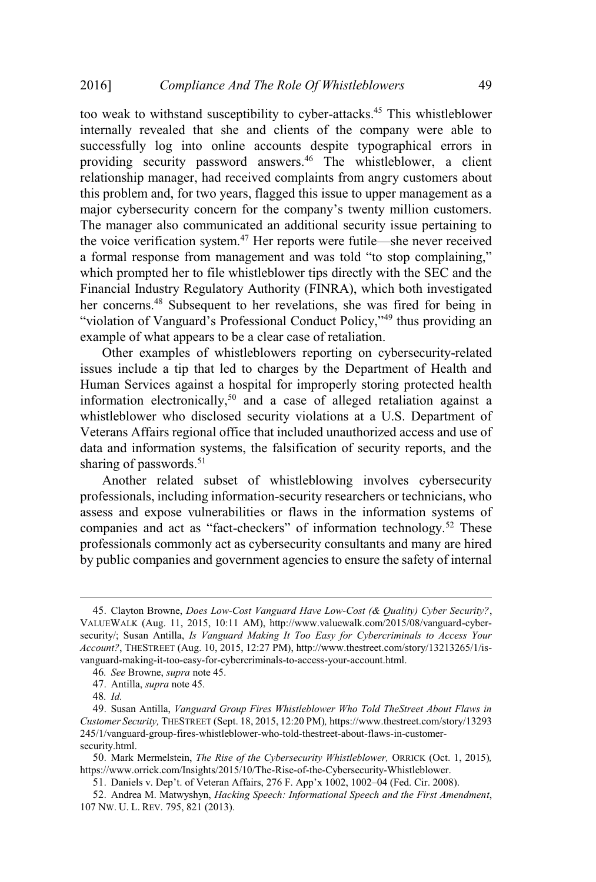too weak to withstand susceptibility to cyber-attacks.<sup>45</sup> This whistleblower internally revealed that she and clients of the company were able to successfully log into online accounts despite typographical errors in providing security password answers.<sup>46</sup> The whistleblower, a client relationship manager, had received complaints from angry customers about this problem and, for two years, flagged this issue to upper management as a major cybersecurity concern for the company's twenty million customers. The manager also communicated an additional security issue pertaining to the voice verification system.<sup>47</sup> Her reports were futile—she never received a formal response from management and was told "to stop complaining," which prompted her to file whistleblower tips directly with the SEC and the Financial Industry Regulatory Authority (FINRA), which both investigated her concerns.<sup>48</sup> Subsequent to her revelations, she was fired for being in "violation of Vanguard's Professional Conduct Policy,"<sup>49</sup> thus providing an example of what appears to be a clear case of retaliation.

Other examples of whistleblowers reporting on cybersecurity-related issues include a tip that led to charges by the Department of Health and Human Services against a hospital for improperly storing protected health information electronically,<sup>50</sup> and a case of alleged retaliation against a whistleblower who disclosed security violations at a U.S. Department of Veterans Affairs regional office that included unauthorized access and use of data and information systems, the falsification of security reports, and the sharing of passwords. $51$ 

Another related subset of whistleblowing involves cybersecurity professionals, including information-security researchers or technicians, who assess and expose vulnerabilities or flaws in the information systems of companies and act as "fact-checkers" of information technology.<sup>52</sup> These professionals commonly act as cybersecurity consultants and many are hired by public companies and government agencies to ensure the safety of internal

<sup>45</sup>. Clayton Browne, *Does Low-Cost Vanguard Have Low-Cost (& Quality) Cyber Security?*, VALUEWALK (Aug. 11, 2015, 10:11 AM), http://www.valuewalk.com/2015/08/vanguard-cybersecurity/; Susan Antilla, *Is Vanguard Making It Too Easy for Cybercriminals to Access Your Account?*, THESTREET (Aug. 10, 2015, 12:27 PM), http://www.thestreet.com/story/13213265/1/isvanguard-making-it-too-easy-for-cybercriminals-to-access-your-account.html.

<sup>46</sup>*. See* Browne, *supra* note 45.

<sup>47</sup>. Antilla, *supra* note 45.

<sup>48</sup>*. Id.*

<sup>49</sup>. Susan Antilla, *Vanguard Group Fires Whistleblower Who Told TheStreet About Flaws in Customer Security,* THESTREET (Sept. 18, 2015, 12:20 PM)*,* https://www.thestreet.com/story/13293 245/1/vanguard-group-fires-whistleblower-who-told-thestreet-about-flaws-in-customersecurity.html.

<sup>50</sup>. Mark Mermelstein, *The Rise of the Cybersecurity Whistleblower,* ORRICK (Oct. 1, 2015)*,* https://www.orrick.com/Insights/2015/10/The-Rise-of-the-Cybersecurity-Whistleblower.

<sup>51</sup>. Daniels v. Dep't. of Veteran Affairs, 276 F. App'x 1002, 1002–04 (Fed. Cir. 2008).

<sup>52</sup>. Andrea M. Matwyshyn, *Hacking Speech: Informational Speech and the First Amendment*, 107 NW. U. L. REV. 795, 821 (2013).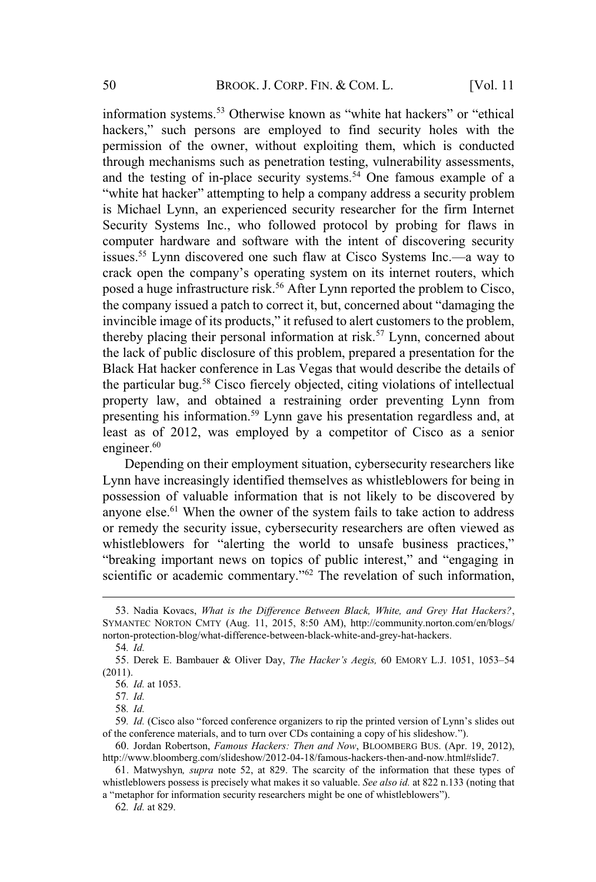information systems.<sup>53</sup> Otherwise known as "white hat hackers" or "ethical hackers," such persons are employed to find security holes with the permission of the owner, without exploiting them, which is conducted through mechanisms such as penetration testing, vulnerability assessments, and the testing of in-place security systems.<sup>54</sup> One famous example of a "white hat hacker" attempting to help a company address a security problem is Michael Lynn, an experienced security researcher for the firm Internet Security Systems Inc., who followed protocol by probing for flaws in computer hardware and software with the intent of discovering security issues.<sup>55</sup> Lynn discovered one such flaw at Cisco Systems Inc.—a way to crack open the company's operating system on its internet routers, which posed a huge infrastructure risk.<sup>56</sup> After Lynn reported the problem to Cisco, the company issued a patch to correct it, but, concerned about "damaging the invincible image of its products," it refused to alert customers to the problem, thereby placing their personal information at risk.<sup>57</sup> Lynn, concerned about the lack of public disclosure of this problem, prepared a presentation for the Black Hat hacker conference in Las Vegas that would describe the details of the particular bug.<sup>58</sup> Cisco fiercely objected, citing violations of intellectual property law, and obtained a restraining order preventing Lynn from presenting his information.<sup>59</sup> Lynn gave his presentation regardless and, at least as of 2012, was employed by a competitor of Cisco as a senior engineer. $60$ 

Depending on their employment situation, cybersecurity researchers like Lynn have increasingly identified themselves as whistleblowers for being in possession of valuable information that is not likely to be discovered by anyone else.<sup>61</sup> When the owner of the system fails to take action to address or remedy the security issue, cybersecurity researchers are often viewed as whistleblowers for "alerting the world to unsafe business practices," "breaking important news on topics of public interest," and "engaging in scientific or academic commentary."<sup>62</sup> The revelation of such information,

<sup>53</sup>. Nadia Kovacs, *What is the Difference Between Black, White, and Grey Hat Hackers?*, SYMANTEC NORTON CMTY (Aug. 11, 2015, 8:50 AM), http://community.norton.com/en/blogs/ norton-protection-blog/what-difference-between-black-white-and-grey-hat-hackers.

<sup>54</sup>*. Id.*

<sup>55</sup>. Derek E. Bambauer & Oliver Day, *The Hacker's Aegis,* 60 EMORY L.J. 1051, 1053–54 (2011).

<sup>56</sup>*. Id.* at 1053.

<sup>57</sup>*. Id.*

<sup>58</sup>*. Id.*

<sup>59</sup>*. Id.* (Cisco also "forced conference organizers to rip the printed version of Lynn's slides out of the conference materials, and to turn over CDs containing a copy of his slideshow.").

<sup>60</sup>. Jordan Robertson, *Famous Hackers: Then and Now*, BLOOMBERG BUS. (Apr. 19, 2012), http://www.bloomberg.com/slideshow/2012-04-18/famous-hackers-then-and-now.html#slide7.

<sup>61</sup>. Matwyshyn*, supra* note 52, at 829. The scarcity of the information that these types of whistleblowers possess is precisely what makes it so valuable. *See also id.* at 822 n.133 (noting that a "metaphor for information security researchers might be one of whistleblowers").

<sup>62</sup>*. Id.* at 829.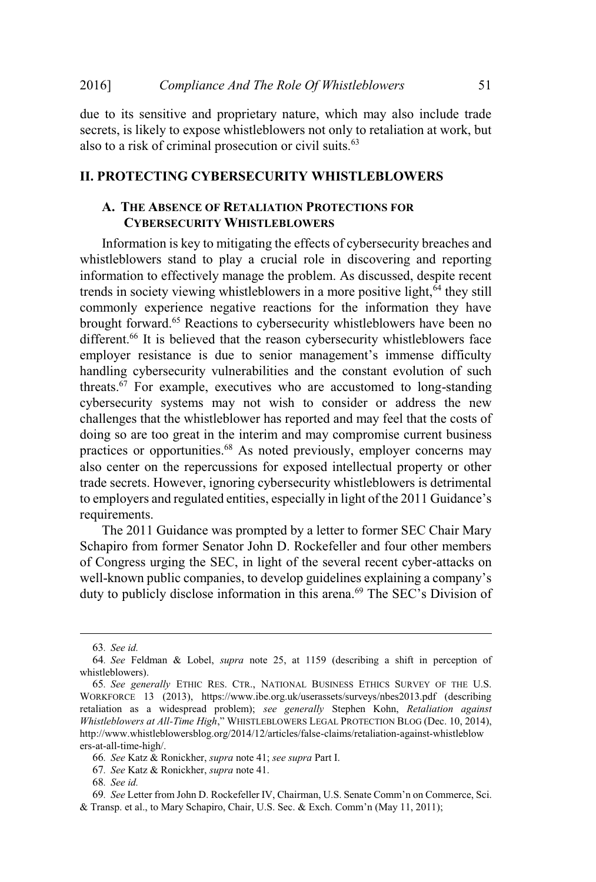due to its sensitive and proprietary nature, which may also include trade secrets, is likely to expose whistleblowers not only to retaliation at work, but also to a risk of criminal prosecution or civil suits.<sup>63</sup>

#### **II. PROTECTING CYBERSECURITY WHISTLEBLOWERS**

## **A. THE ABSENCE OF RETALIATION PROTECTIONS FOR CYBERSECURITY WHISTLEBLOWERS**

Information is key to mitigating the effects of cybersecurity breaches and whistleblowers stand to play a crucial role in discovering and reporting information to effectively manage the problem. As discussed, despite recent trends in society viewing whistleblowers in a more positive light,<sup>64</sup> they still commonly experience negative reactions for the information they have brought forward.<sup>65</sup> Reactions to cybersecurity whistleblowers have been no different.<sup>66</sup> It is believed that the reason cybersecurity whistleblowers face employer resistance is due to senior management's immense difficulty handling cybersecurity vulnerabilities and the constant evolution of such threats.<sup>67</sup> For example, executives who are accustomed to long-standing cybersecurity systems may not wish to consider or address the new challenges that the whistleblower has reported and may feel that the costs of doing so are too great in the interim and may compromise current business practices or opportunities.<sup>68</sup> As noted previously, employer concerns may also center on the repercussions for exposed intellectual property or other trade secrets. However, ignoring cybersecurity whistleblowers is detrimental to employers and regulated entities, especially in light of the 2011 Guidance's requirements.

The 2011 Guidance was prompted by a letter to former SEC Chair Mary Schapiro from former Senator John D. Rockefeller and four other members of Congress urging the SEC, in light of the several recent cyber-attacks on well-known public companies, to develop guidelines explaining a company's duty to publicly disclose information in this arena.<sup>69</sup> The SEC's Division of

<sup>63</sup>*. See id.*

<sup>64</sup>*. See* Feldman & Lobel, *supra* note 25, at 1159 (describing a shift in perception of whistleblowers).

<sup>65</sup>*. See generally* ETHIC RES. CTR., NATIONAL BUSINESS ETHICS SURVEY OF THE U.S. WORKFORCE 13 (2013), https://www.ibe.org.uk/userassets/surveys/nbes2013.pdf (describing retaliation as a widespread problem); *see generally* Stephen Kohn, *Retaliation against Whistleblowers at All-Time High*," WHISTLEBLOWERS LEGAL PROTECTION BLOG (Dec. 10, 2014), http://www.whistleblowersblog.org/2014/12/articles/false-claims/retaliation-against-whistleblow ers-at-all-time-high/.

<sup>66</sup>*. See* Katz & Ronickher, *supra* note 41; *see supra* Part I.

<sup>67</sup>*. See* Katz & Ronickher, *supra* note 41.

<sup>68</sup>*. See id.*

<sup>69</sup>*. See* Letter from John D. Rockefeller IV, Chairman, U.S. Senate Comm'n on Commerce, Sci. & Transp. et al., to Mary Schapiro, Chair, U.S. Sec. & Exch. Comm'n (May 11, 2011);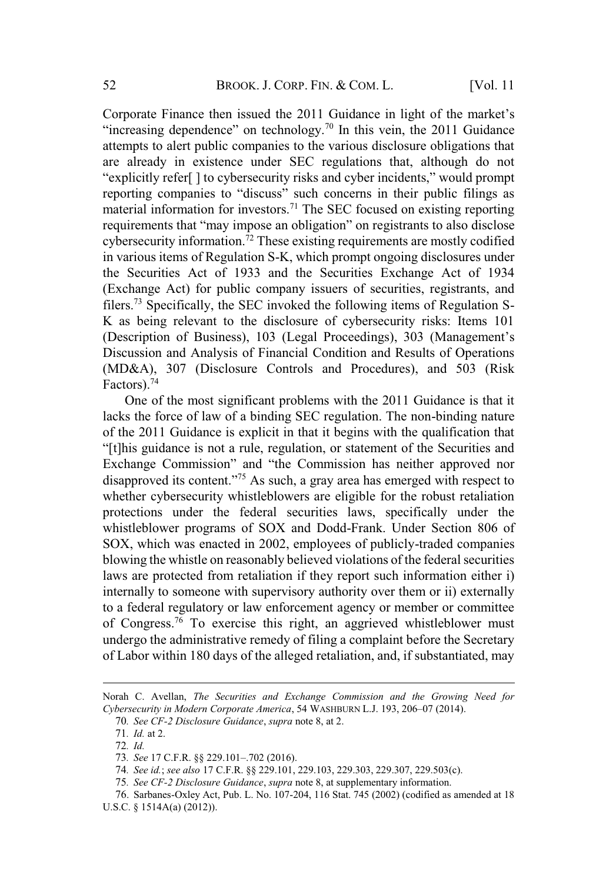Corporate Finance then issued the 2011 Guidance in light of the market's "increasing dependence" on technology.<sup>70</sup> In this vein, the 2011 Guidance attempts to alert public companies to the various disclosure obligations that are already in existence under SEC regulations that, although do not "explicitly refer[ ] to cybersecurity risks and cyber incidents," would prompt reporting companies to "discuss" such concerns in their public filings as material information for investors.<sup>71</sup> The SEC focused on existing reporting requirements that "may impose an obligation" on registrants to also disclose cybersecurity information.<sup>72</sup> These existing requirements are mostly codified in various items of Regulation S-K, which prompt ongoing disclosures under the Securities Act of 1933 and the Securities Exchange Act of 1934 (Exchange Act) for public company issuers of securities, registrants, and filers.<sup>73</sup> Specifically, the SEC invoked the following items of Regulation S-K as being relevant to the disclosure of cybersecurity risks: Items 101 (Description of Business), 103 (Legal Proceedings), 303 (Management's Discussion and Analysis of Financial Condition and Results of Operations (MD&A), 307 (Disclosure Controls and Procedures), and 503 (Risk Factors).<sup>74</sup>

One of the most significant problems with the 2011 Guidance is that it lacks the force of law of a binding SEC regulation. The non-binding nature of the 2011 Guidance is explicit in that it begins with the qualification that "[t]his guidance is not a rule, regulation, or statement of the Securities and Exchange Commission" and "the Commission has neither approved nor disapproved its content."<sup>75</sup> As such, a gray area has emerged with respect to whether cybersecurity whistleblowers are eligible for the robust retaliation protections under the federal securities laws, specifically under the whistleblower programs of SOX and Dodd-Frank. Under Section 806 of SOX, which was enacted in 2002, employees of publicly-traded companies blowing the whistle on reasonably believed violations of the federal securities laws are protected from retaliation if they report such information either i) internally to someone with supervisory authority over them or ii) externally to a federal regulatory or law enforcement agency or member or committee of Congress.<sup>76</sup> To exercise this right, an aggrieved whistleblower must undergo the administrative remedy of filing a complaint before the Secretary of Labor within 180 days of the alleged retaliation, and, if substantiated, may

75*. See CF-2 Disclosure Guidance*, *supra* note 8, at supplementary information.

Norah C. Avellan, *The Securities and Exchange Commission and the Growing Need for Cybersecurity in Modern Corporate America*, 54 WASHBURN L.J. 193, 206–07 (2014).

<sup>70</sup>*. See CF-2 Disclosure Guidance*, *supra* note 8, at 2.

<sup>71</sup>*. Id.* at 2.

<sup>72</sup>*. Id.*

<sup>73</sup>*. See* 17 C.F.R. §§ 229.101–.702 (2016).

<sup>74</sup>*. See id.*; *see also* 17 C.F.R. §§ 229.101, 229.103, 229.303, 229.307, 229.503(c).

<sup>76</sup>. Sarbanes-Oxley Act, Pub. L. No. 107-204, 116 Stat. 745 (2002) (codified as amended at 18 U.S.C. § 1514A(a) (2012)).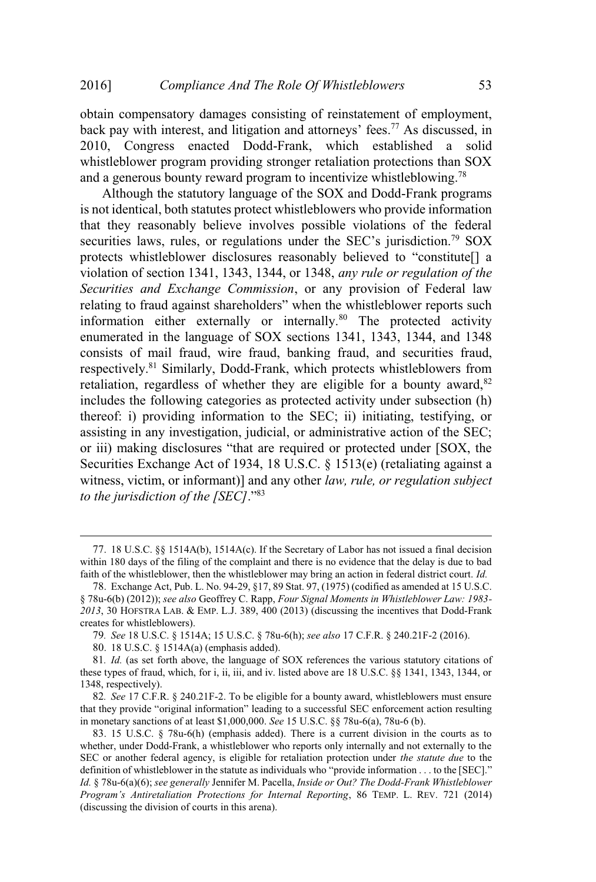obtain compensatory damages consisting of reinstatement of employment, back pay with interest, and litigation and attorneys' fees.<sup>77</sup> As discussed, in 2010, Congress enacted Dodd-Frank, which established a solid whistleblower program providing stronger retaliation protections than SOX and a generous bounty reward program to incentivize whistleblowing.<sup>78</sup>

Although the statutory language of the SOX and Dodd-Frank programs is not identical, both statutes protect whistleblowers who provide information that they reasonably believe involves possible violations of the federal securities laws, rules, or regulations under the SEC's jurisdiction.<sup>79</sup> SOX protects whistleblower disclosures reasonably believed to "constitute[] a violation of section 1341, 1343, 1344, or 1348, *any rule or regulation of the Securities and Exchange Commission*, or any provision of Federal law relating to fraud against shareholders" when the whistleblower reports such information either externally or internally.<sup>80</sup> The protected activity enumerated in the language of SOX sections 1341, 1343, 1344, and 1348 consists of mail fraud, wire fraud, banking fraud, and securities fraud, respectively.<sup>81</sup> Similarly, Dodd-Frank, which protects whistleblowers from retaliation, regardless of whether they are eligible for a bounty award,  $82$ includes the following categories as protected activity under subsection (h) thereof: i) providing information to the SEC; ii) initiating, testifying, or assisting in any investigation, judicial, or administrative action of the SEC; or iii) making disclosures "that are required or protected under [SOX, the Securities Exchange Act of 1934, 18 U.S.C. § 1513(e) (retaliating against a witness, victim, or informant)] and any other *law, rule, or regulation subject to the jurisdiction of the [SEC]*."<sup>83</sup>

<sup>77</sup>. 18 U.S.C. §§ 1514A(b), 1514A(c). If the Secretary of Labor has not issued a final decision within 180 days of the filing of the complaint and there is no evidence that the delay is due to bad faith of the whistleblower, then the whistleblower may bring an action in federal district court. *Id.*

<sup>78</sup>. Exchange Act, Pub. L. No. 94-29, §17, 89 Stat. 97, (1975) (codified as amended at 15 U.S.C. § 78u-6(b) (2012)); *see also* Geoffrey C. Rapp, *Four Signal Moments in Whistleblower Law: 1983- 2013*, 30 HOFSTRA LAB. & EMP. L.J. 389, 400 (2013) (discussing the incentives that Dodd-Frank creates for whistleblowers).

<sup>79</sup>*. See* 18 U.S.C. § 1514A; 15 U.S.C. § 78u-6(h); *see also* 17 C.F.R. § 240.21F-2 (2016).

<sup>80</sup>. 18 U.S.C. § 1514A(a) (emphasis added).

<sup>81</sup>*. Id.* (as set forth above, the language of SOX references the various statutory citations of these types of fraud, which, for i, ii, iii, and iv. listed above are 18 U.S.C. §§ 1341, 1343, 1344, or 1348, respectively).

<sup>82</sup>*. See* 17 C.F.R. § 240.21F-2. To be eligible for a bounty award, whistleblowers must ensure that they provide "original information" leading to a successful SEC enforcement action resulting in monetary sanctions of at least \$1,000,000. *See* 15 U.S.C. §§ 78u-6(a), 78u-6 (b).

<sup>83</sup>. 15 U.S.C. § 78u-6(h) (emphasis added). There is a current division in the courts as to whether, under Dodd-Frank, a whistleblower who reports only internally and not externally to the SEC or another federal agency, is eligible for retaliation protection under *the statute due* to the definition of whistleblower in the statute as individuals who "provide information . . . to the [SEC]." *Id.* § 78u-6(a)(6); *see generally* Jennifer M. Pacella, *Inside or Out? The Dodd-Frank Whistleblower Program's Antiretaliation Protections for Internal Reporting*, 86 TEMP. L. REV. 721 (2014) (discussing the division of courts in this arena).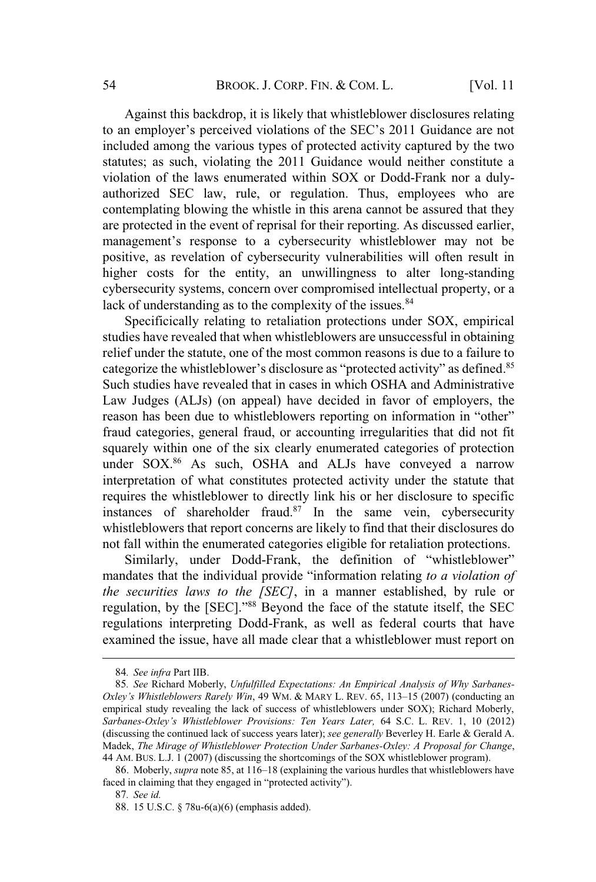Against this backdrop, it is likely that whistleblower disclosures relating to an employer's perceived violations of the SEC's 2011 Guidance are not included among the various types of protected activity captured by the two statutes; as such, violating the 2011 Guidance would neither constitute a violation of the laws enumerated within SOX or Dodd-Frank nor a dulyauthorized SEC law, rule, or regulation. Thus, employees who are contemplating blowing the whistle in this arena cannot be assured that they are protected in the event of reprisal for their reporting. As discussed earlier, management's response to a cybersecurity whistleblower may not be positive, as revelation of cybersecurity vulnerabilities will often result in higher costs for the entity, an unwillingness to alter long-standing cybersecurity systems, concern over compromised intellectual property, or a lack of understanding as to the complexity of the issues.<sup>84</sup>

Specificically relating to retaliation protections under SOX, empirical studies have revealed that when whistleblowers are unsuccessful in obtaining relief under the statute, one of the most common reasons is due to a failure to categorize the whistleblower's disclosure as "protected activity" as defined.<sup>85</sup> Such studies have revealed that in cases in which OSHA and Administrative Law Judges (ALJs) (on appeal) have decided in favor of employers, the reason has been due to whistleblowers reporting on information in "other" fraud categories, general fraud, or accounting irregularities that did not fit squarely within one of the six clearly enumerated categories of protection under SOX.<sup>86</sup> As such, OSHA and ALJs have conveyed a narrow interpretation of what constitutes protected activity under the statute that requires the whistleblower to directly link his or her disclosure to specific instances of shareholder fraud. $87$  In the same vein, cybersecurity whistleblowers that report concerns are likely to find that their disclosures do not fall within the enumerated categories eligible for retaliation protections.

Similarly, under Dodd-Frank, the definition of "whistleblower" mandates that the individual provide "information relating *to a violation of the securities laws to the [SEC]*, in a manner established, by rule or regulation, by the [SEC]."<sup>88</sup> Beyond the face of the statute itself, the SEC regulations interpreting Dodd-Frank, as well as federal courts that have examined the issue, have all made clear that a whistleblower must report on

<sup>84</sup>*. See infra* Part IIB.

<sup>85</sup>*. See* Richard Moberly, *Unfulfilled Expectations: An Empirical Analysis of Why Sarbanes-Oxley's Whistleblowers Rarely Win*, 49 WM. & MARY L. REV. 65, 113–15 (2007) (conducting an empirical study revealing the lack of success of whistleblowers under SOX); Richard Moberly, *Sarbanes-Oxley's Whistleblower Provisions: Ten Years Later,* 64 S.C. L. REV. 1, 10 (2012) (discussing the continued lack of success years later); *see generally* Beverley H. Earle & Gerald A. Madek, *The Mirage of Whistleblower Protection Under Sarbanes-Oxley: A Proposal for Change*, 44 AM. BUS. L.J. 1 (2007) (discussing the shortcomings of the SOX whistleblower program).

<sup>86</sup>. Moberly, *supra* note 85, at 116–18 (explaining the various hurdles that whistleblowers have faced in claiming that they engaged in "protected activity").

<sup>87</sup>*. See id.*

<sup>88</sup>. 15 U.S.C. § 78u-6(a)(6) (emphasis added).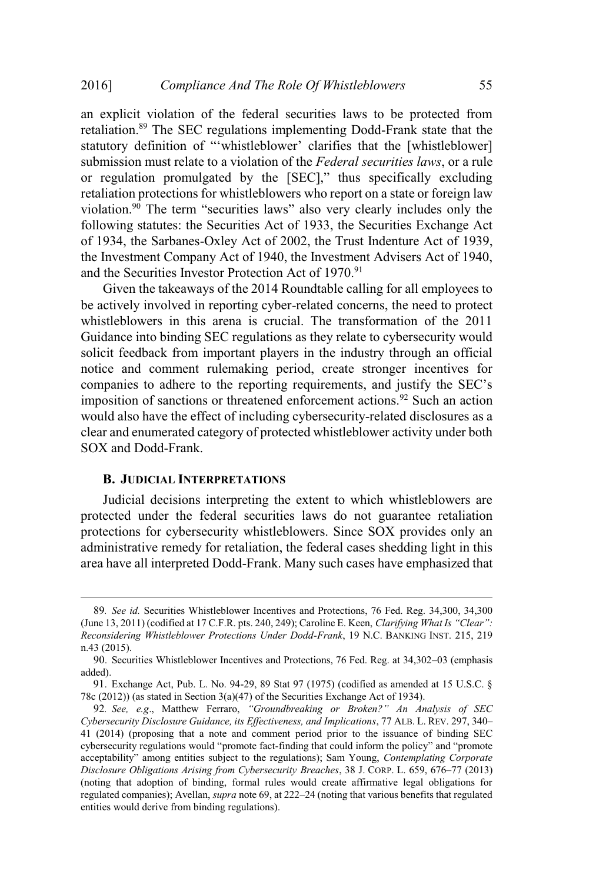an explicit violation of the federal securities laws to be protected from retaliation.<sup>89</sup> The SEC regulations implementing Dodd-Frank state that the statutory definition of "'whistleblower' clarifies that the [whistleblower] submission must relate to a violation of the *Federal securities laws*, or a rule or regulation promulgated by the [SEC]," thus specifically excluding retaliation protections for whistleblowers who report on a state or foreign law violation.<sup>90</sup> The term "securities laws" also very clearly includes only the following statutes: the Securities Act of 1933, the Securities Exchange Act of 1934, the Sarbanes-Oxley Act of 2002, the Trust Indenture Act of 1939, the Investment Company Act of 1940, the Investment Advisers Act of 1940, and the Securities Investor Protection Act of 1970.<sup>91</sup>

Given the takeaways of the 2014 Roundtable calling for all employees to be actively involved in reporting cyber-related concerns, the need to protect whistleblowers in this arena is crucial. The transformation of the 2011 Guidance into binding SEC regulations as they relate to cybersecurity would solicit feedback from important players in the industry through an official notice and comment rulemaking period, create stronger incentives for companies to adhere to the reporting requirements, and justify the SEC's imposition of sanctions or threatened enforcement actions.<sup>92</sup> Such an action would also have the effect of including cybersecurity-related disclosures as a clear and enumerated category of protected whistleblower activity under both SOX and Dodd-Frank.

#### **B. JUDICIAL INTERPRETATIONS**

Judicial decisions interpreting the extent to which whistleblowers are protected under the federal securities laws do not guarantee retaliation protections for cybersecurity whistleblowers. Since SOX provides only an administrative remedy for retaliation, the federal cases shedding light in this area have all interpreted Dodd-Frank. Many such cases have emphasized that

<sup>89</sup>*. See id.* Securities Whistleblower Incentives and Protections, 76 Fed. Reg. 34,300, 34,300 (June 13, 2011) (codified at 17 C.F.R. pts. 240, 249); Caroline E. Keen, *Clarifying What Is "Clear": Reconsidering Whistleblower Protections Under Dodd-Frank*, 19 N.C. BANKING INST. 215, 219 n.43 (2015).

<sup>90</sup>. Securities Whistleblower Incentives and Protections, 76 Fed. Reg. at 34,302–03 (emphasis added).

<sup>91</sup>. Exchange Act, Pub. L. No. 94-29, 89 Stat 97 (1975) (codified as amended at 15 U.S.C. § 78c (2012)) (as stated in Section 3(a)(47) of the Securities Exchange Act of 1934).

<sup>92</sup>*. See, e.g*., Matthew Ferraro, *"Groundbreaking or Broken?" An Analysis of SEC Cybersecurity Disclosure Guidance, its Effectiveness, and Implications*, 77 ALB. L. REV. 297, 340– 41 (2014) (proposing that a note and comment period prior to the issuance of binding SEC cybersecurity regulations would "promote fact-finding that could inform the policy" and "promote acceptability" among entities subject to the regulations); Sam Young, *Contemplating Corporate Disclosure Obligations Arising from Cybersecurity Breaches*, 38 J. CORP. L. 659, 676–77 (2013) (noting that adoption of binding, formal rules would create affirmative legal obligations for regulated companies); Avellan, *supra* note 69, at 222–24 (noting that various benefits that regulated entities would derive from binding regulations).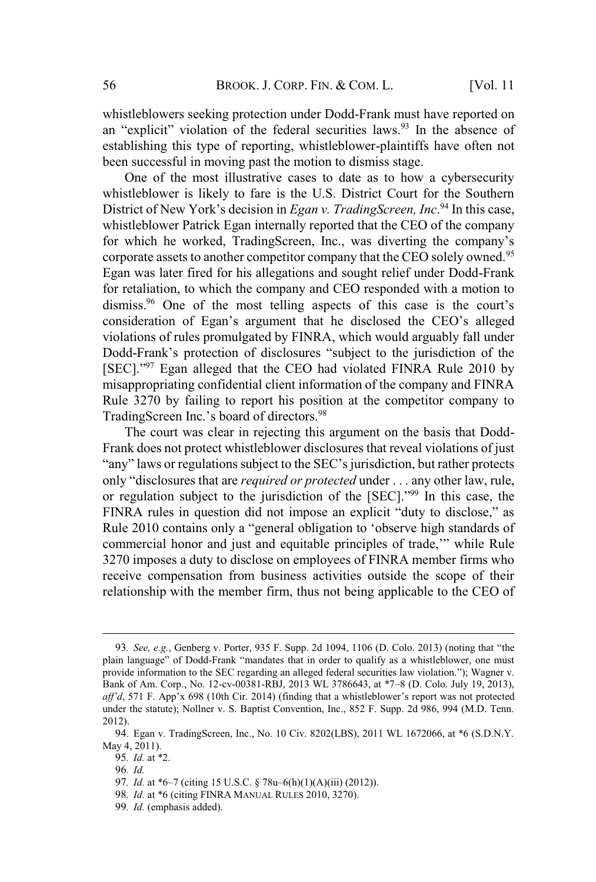whistleblowers seeking protection under Dodd-Frank must have reported on an "explicit" violation of the federal securities laws.<sup>93</sup> In the absence of establishing this type of reporting, whistleblower-plaintiffs have often not been successful in moving past the motion to dismiss stage.

One of the most illustrative cases to date as to how a cybersecurity whistleblower is likely to fare is the U.S. District Court for the Southern District of New York's decision in *Egan v. TradingScreen, Inc*. <sup>94</sup> In this case, whistleblower Patrick Egan internally reported that the CEO of the company for which he worked, TradingScreen, Inc., was diverting the company's corporate assets to another competitor company that the CEO solely owned.<sup>95</sup> Egan was later fired for his allegations and sought relief under Dodd-Frank for retaliation, to which the company and CEO responded with a motion to dismiss.<sup>96</sup> One of the most telling aspects of this case is the court's consideration of Egan's argument that he disclosed the CEO's alleged violations of rules promulgated by FINRA, which would arguably fall under Dodd-Frank's protection of disclosures "subject to the jurisdiction of the [SEC]."<sup>97</sup> Egan alleged that the CEO had violated FINRA Rule 2010 by misappropriating confidential client information of the company and FINRA Rule 3270 by failing to report his position at the competitor company to TradingScreen Inc.'s board of directors.<sup>98</sup>

The court was clear in rejecting this argument on the basis that Dodd-Frank does not protect whistleblower disclosures that reveal violations of just "any" laws or regulations subject to the SEC's jurisdiction, but rather protects only "disclosures that are *required or protected* under . . . any other law, rule, or regulation subject to the jurisdiction of the [SEC]."<sup>99</sup> In this case, the FINRA rules in question did not impose an explicit "duty to disclose," as Rule 2010 contains only a "general obligation to 'observe high standards of commercial honor and just and equitable principles of trade,'" while Rule 3270 imposes a duty to disclose on employees of FINRA member firms who receive compensation from business activities outside the scope of their relationship with the member firm, thus not being applicable to the CEO of

98*. Id.* at \*6 (citing FINRA MANUAL RULES 2010, 3270).

<sup>93</sup>*. See, e.g.*, Genberg v. Porter, 935 F. Supp. 2d 1094, 1106 (D. Colo. 2013) (noting that "the plain language" of Dodd-Frank "mandates that in order to qualify as a whistleblower, one must provide information to the SEC regarding an alleged federal securities law violation."); Wagner v. Bank of Am. Corp., No. 12-cv-00381-RBJ, 2013 WL 3786643, at \*7–8 (D. Colo. July 19, 2013), *aff'd*, 571 F. App'x 698 (10th Cir. 2014) (finding that a whistleblower's report was not protected under the statute); Nollner v. S. Baptist Convention, Inc., 852 F. Supp. 2d 986, 994 (M.D. Tenn. 2012).

<sup>94</sup>. Egan v. TradingScreen, Inc., No. 10 Civ. 8202(LBS), 2011 WL 1672066, at \*6 (S.D.N.Y. May 4, 2011).

<sup>95</sup>*. Id.* at \*2.

<sup>96</sup>*. Id.*

<sup>97</sup>*. Id.* at \*6–7 (citing 15 U.S.C. § 78u–6(h)(1)(A)(iii) (2012)).

<sup>99</sup>*. Id.* (emphasis added).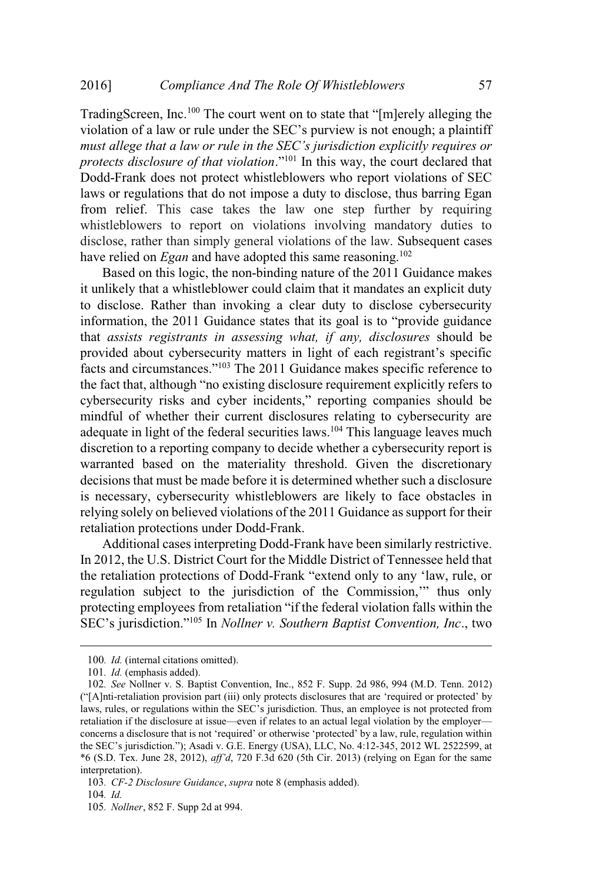TradingScreen, Inc.<sup>100</sup> The court went on to state that "[m]erely alleging the violation of a law or rule under the SEC's purview is not enough; a plaintiff *must allege that a law or rule in the SEC's jurisdiction explicitly requires or protects disclosure of that violation*."<sup>101</sup> In this way, the court declared that Dodd-Frank does not protect whistleblowers who report violations of SEC laws or regulations that do not impose a duty to disclose, thus barring Egan from relief. This case takes the law one step further by requiring whistleblowers to report on violations involving mandatory duties to disclose, rather than simply general violations of the law. Subsequent cases have relied on *Egan* and have adopted this same reasoning.<sup>102</sup>

Based on this logic, the non-binding nature of the 2011 Guidance makes it unlikely that a whistleblower could claim that it mandates an explicit duty to disclose. Rather than invoking a clear duty to disclose cybersecurity information, the 2011 Guidance states that its goal is to "provide guidance that *assists registrants in assessing what, if any, disclosures* should be provided about cybersecurity matters in light of each registrant's specific facts and circumstances."<sup>103</sup> The 2011 Guidance makes specific reference to the fact that, although "no existing disclosure requirement explicitly refers to cybersecurity risks and cyber incidents," reporting companies should be mindful of whether their current disclosures relating to cybersecurity are adequate in light of the federal securities laws.<sup>104</sup> This language leaves much discretion to a reporting company to decide whether a cybersecurity report is warranted based on the materiality threshold. Given the discretionary decisions that must be made before it is determined whether such a disclosure is necessary, cybersecurity whistleblowers are likely to face obstacles in relying solely on believed violations of the 2011 Guidance as support for their retaliation protections under Dodd-Frank.

Additional cases interpreting Dodd-Frank have been similarly restrictive. In 2012, the U.S. District Court for the Middle District of Tennessee held that the retaliation protections of Dodd-Frank "extend only to any 'law, rule, or regulation subject to the jurisdiction of the Commission,'" thus only protecting employees from retaliation "if the federal violation falls within the SEC's jurisdiction."<sup>105</sup> In *Nollner v. Southern Baptist Convention, Inc*., two

<sup>100</sup>*. Id.* (internal citations omitted).

<sup>101</sup>*. Id.* (emphasis added).

<sup>102</sup>*. See* Nollner v. S. Baptist Convention, Inc., 852 F. Supp. 2d 986, 994 (M.D. Tenn. 2012) ("[A]nti-retaliation provision part (iii) only protects disclosures that are 'required or protected' by laws, rules, or regulations within the SEC's jurisdiction. Thus, an employee is not protected from retaliation if the disclosure at issue—even if relates to an actual legal violation by the employer concerns a disclosure that is not 'required' or otherwise 'protected' by a law, rule, regulation within the SEC's jurisdiction."); Asadi v. G.E. Energy (USA), LLC, No. 4:12-345, 2012 WL 2522599, at \*6 (S.D. Tex. June 28, 2012), *aff'd*, 720 F.3d 620 (5th Cir. 2013) (relying on Egan for the same interpretation).

<sup>103</sup>*. CF-2 Disclosure Guidance*, *supra* note 8 (emphasis added).

<sup>104</sup>*. Id.*

<sup>105</sup>*. Nollner*, 852 F. Supp 2d at 994.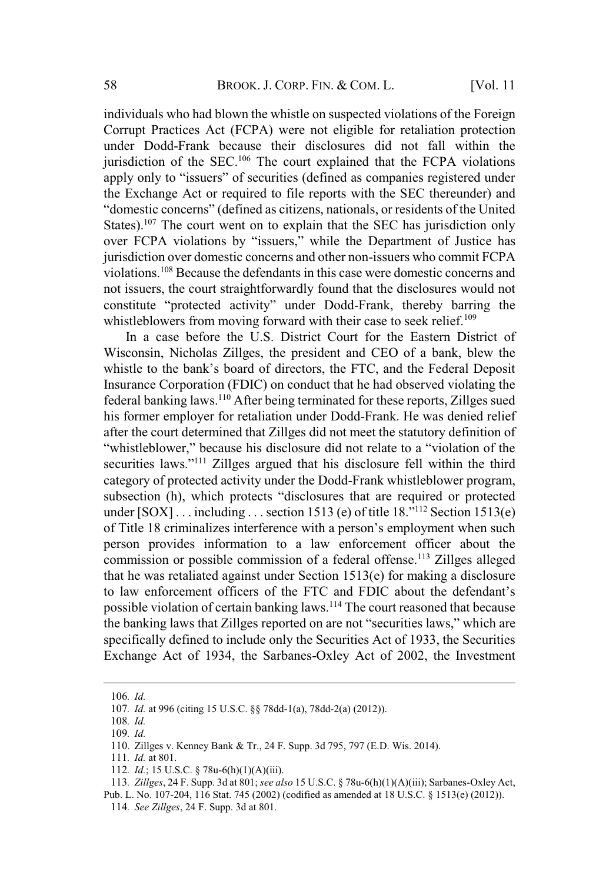individuals who had blown the whistle on suspected violations of the Foreign Corrupt Practices Act (FCPA) were not eligible for retaliation protection under Dodd-Frank because their disclosures did not fall within the jurisdiction of the SEC.<sup>106</sup> The court explained that the FCPA violations apply only to "issuers" of securities (defined as companies registered under the Exchange Act or required to file reports with the SEC thereunder) and "domestic concerns" (defined as citizens, nationals, or residents of the United States).<sup>107</sup> The court went on to explain that the SEC has jurisdiction only over FCPA violations by "issuers," while the Department of Justice has jurisdiction over domestic concerns and other non-issuers who commit FCPA violations.<sup>108</sup> Because the defendants in this case were domestic concerns and not issuers, the court straightforwardly found that the disclosures would not constitute "protected activity" under Dodd-Frank, thereby barring the whistleblowers from moving forward with their case to seek relief.<sup>109</sup>

In a case before the U.S. District Court for the Eastern District of Wisconsin, Nicholas Zillges, the president and CEO of a bank, blew the whistle to the bank's board of directors, the FTC, and the Federal Deposit Insurance Corporation (FDIC) on conduct that he had observed violating the federal banking laws.<sup>110</sup> After being terminated for these reports, Zillges sued his former employer for retaliation under Dodd-Frank. He was denied relief after the court determined that Zillges did not meet the statutory definition of "whistleblower," because his disclosure did not relate to a "violation of the securities laws."<sup>111</sup> Zillges argued that his disclosure fell within the third category of protected activity under the Dodd-Frank whistleblower program, subsection (h), which protects "disclosures that are required or protected under  $[SOX]$ ... including ... section 1513 (e) of title 18."<sup>112</sup> Section 1513(e) of Title 18 criminalizes interference with a person's employment when such person provides information to a law enforcement officer about the commission or possible commission of a federal offense.<sup>113</sup> Zillges alleged that he was retaliated against under Section 1513(e) for making a disclosure to law enforcement officers of the FTC and FDIC about the defendant's possible violation of certain banking laws.<sup>114</sup> The court reasoned that because the banking laws that Zillges reported on are not "securities laws," which are specifically defined to include only the Securities Act of 1933, the Securities Exchange Act of 1934, the Sarbanes-Oxley Act of 2002, the Investment

<sup>106</sup>*. Id.*

<sup>107</sup>*. Id.* at 996 (citing 15 U.S.C. §§ 78dd-1(a), 78dd-2(a) (2012)).

<sup>108</sup>*. Id.*

<sup>109</sup>*. Id.*

<sup>110</sup>. Zillges v. Kenney Bank & Tr., 24 F. Supp. 3d 795, 797 (E.D. Wis. 2014).

<sup>111</sup>*. Id.* at 801.

<sup>112</sup>*. Id.*; 15 U.S.C. § 78u-6(h)(1)(A)(iii).

<sup>113</sup>*. Zillges*, 24 F. Supp. 3d at 801; *see also* 15 U.S.C. § 78u-6(h)(1)(A)(iii); Sarbanes-Oxley Act,

Pub. L. No. 107-204, 116 Stat. 745 (2002) (codified as amended at 18 U.S.C. § 1513(e) (2012)).

<sup>114</sup>*. See Zillges*, 24 F. Supp. 3d at 801*.*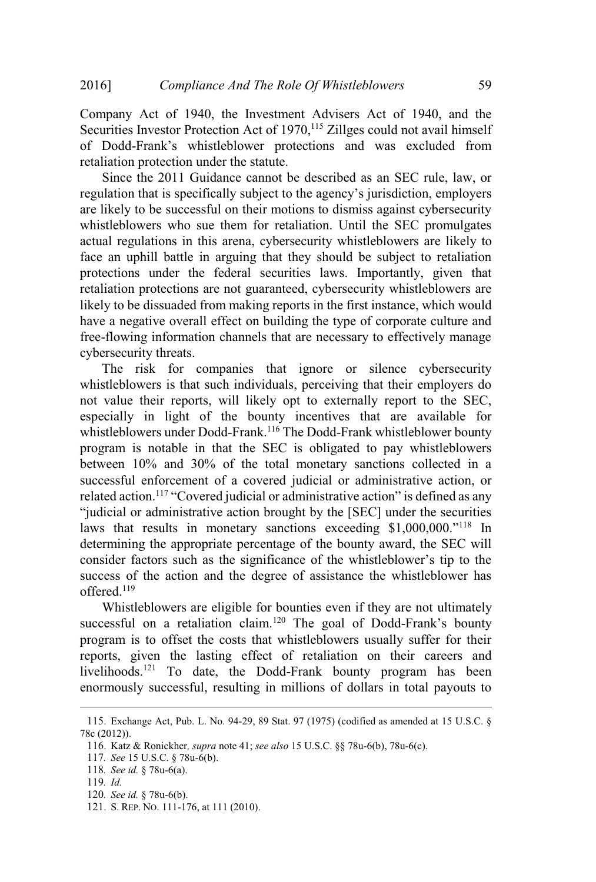Company Act of 1940, the Investment Advisers Act of 1940, and the Securities Investor Protection Act of 1970,<sup>115</sup> Zillges could not avail himself of Dodd-Frank's whistleblower protections and was excluded from retaliation protection under the statute.

Since the 2011 Guidance cannot be described as an SEC rule, law, or regulation that is specifically subject to the agency's jurisdiction, employers are likely to be successful on their motions to dismiss against cybersecurity whistleblowers who sue them for retaliation. Until the SEC promulgates actual regulations in this arena, cybersecurity whistleblowers are likely to face an uphill battle in arguing that they should be subject to retaliation protections under the federal securities laws. Importantly, given that retaliation protections are not guaranteed, cybersecurity whistleblowers are likely to be dissuaded from making reports in the first instance, which would have a negative overall effect on building the type of corporate culture and free-flowing information channels that are necessary to effectively manage cybersecurity threats.

The risk for companies that ignore or silence cybersecurity whistleblowers is that such individuals, perceiving that their employers do not value their reports, will likely opt to externally report to the SEC, especially in light of the bounty incentives that are available for whistleblowers under Dodd-Frank.<sup>116</sup> The Dodd-Frank whistleblower bounty program is notable in that the SEC is obligated to pay whistleblowers between 10% and 30% of the total monetary sanctions collected in a successful enforcement of a covered judicial or administrative action, or related action.<sup>117</sup> "Covered judicial or administrative action" is defined as any "judicial or administrative action brought by the [SEC] under the securities laws that results in monetary sanctions exceeding \$1,000,000."<sup>118</sup> In determining the appropriate percentage of the bounty award, the SEC will consider factors such as the significance of the whistleblower's tip to the success of the action and the degree of assistance the whistleblower has offered.<sup>119</sup>

Whistleblowers are eligible for bounties even if they are not ultimately successful on a retaliation claim.<sup>120</sup> The goal of Dodd-Frank's bounty program is to offset the costs that whistleblowers usually suffer for their reports, given the lasting effect of retaliation on their careers and livelihoods.<sup>121</sup> To date, the Dodd-Frank bounty program has been enormously successful, resulting in millions of dollars in total payouts to

<sup>115</sup>. Exchange Act, Pub. L. No. 94-29, 89 Stat. 97 (1975) (codified as amended at 15 U.S.C. § 78c (2012)).

<sup>116</sup>. Katz & Ronickher*, supra* note 41; *see also* 15 U.S.C. §§ 78u-6(b), 78u-6(c).

<sup>117</sup>*. See* 15 U.S.C. § 78u-6(b).

<sup>118</sup>*. See id.* § 78u-6(a).

<sup>119</sup>*. Id.*

<sup>120</sup>*. See id.* § 78u-6(b).

<sup>121</sup>. S. REP. NO. 111-176, at 111 (2010).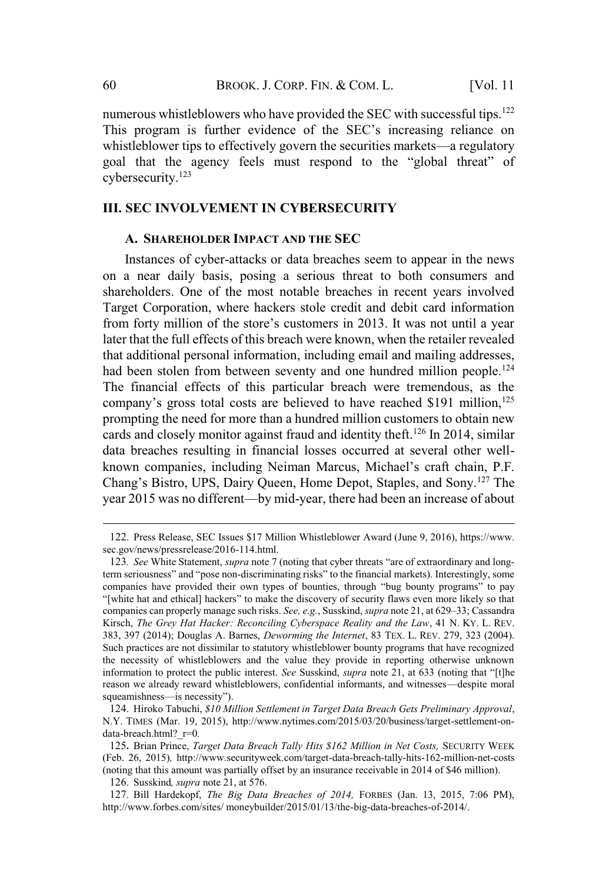numerous whistleblowers who have provided the SEC with successful tips.<sup>122</sup> This program is further evidence of the SEC's increasing reliance on whistleblower tips to effectively govern the securities markets—a regulatory goal that the agency feels must respond to the "global threat" of cybersecurity.<sup>123</sup>

# **III. SEC INVOLVEMENT IN CYBERSECURITY**

#### **A. SHAREHOLDER IMPACT AND THE SEC**

Instances of cyber-attacks or data breaches seem to appear in the news on a near daily basis, posing a serious threat to both consumers and shareholders. One of the most notable breaches in recent years involved Target Corporation, where hackers stole credit and debit card information from forty million of the store's customers in 2013. It was not until a year later that the full effects of this breach were known, when the retailer revealed that additional personal information, including email and mailing addresses, had been stolen from between seventy and one hundred million people.<sup>124</sup> The financial effects of this particular breach were tremendous, as the company's gross total costs are believed to have reached \$191 million,  $125$ prompting the need for more than a hundred million customers to obtain new cards and closely monitor against fraud and identity theft.<sup>126</sup> In 2014, similar data breaches resulting in financial losses occurred at several other wellknown companies, including Neiman Marcus, Michael's craft chain, P.F. Chang's Bistro, UPS, Dairy Queen, Home Depot, Staples, and Sony.<sup>127</sup> The year 2015 was no different—by mid-year, there had been an increase of about

<sup>122</sup>. Press Release, SEC Issues \$17 Million Whistleblower Award (June 9, 2016), https://www. sec.gov/news/pressrelease/2016-114.html.

<sup>123</sup>*. See* White Statement, *supra* note 7 (noting that cyber threats "are of extraordinary and longterm seriousness" and "pose non-discriminating risks" to the financial markets). Interestingly, some companies have provided their own types of bounties, through "bug bounty programs" to pay "[white hat and ethical] hackers" to make the discovery of security flaws even more likely so that companies can properly manage such risks. *See, e.g.*, Susskind, *supra* note 21, at 629–33; Cassandra Kirsch, *The Grey Hat Hacker: Reconciling Cyberspace Reality and the Law*, 41 N. KY. L. REV. 383, 397 (2014); Douglas A. Barnes, *Deworming the Internet*, 83 TEX. L. REV. 279, 323 (2004). Such practices are not dissimilar to statutory whistleblower bounty programs that have recognized the necessity of whistleblowers and the value they provide in reporting otherwise unknown information to protect the public interest. *See* Susskind, *supra* note 21, at 633 (noting that "[t]he reason we already reward whistleblowers, confidential informants, and witnesses—despite moral squeamishness—is necessity").

<sup>124</sup>. Hiroko Tabuchi, *\$10 Million Settlement in Target Data Breach Gets Preliminary Approval*, N.Y. TIMES (Mar. 19, 2015), http://www.nytimes.com/2015/03/20/business/target-settlement-ondata-breach.html?\_r=0*.*

<sup>125</sup>**.** Brian Prince, *Target Data Breach Tally Hits \$162 Million in Net Costs,* SECURITY WEEK (Feb. 26, 2015)*,* http://www.securityweek.com/target-data-breach-tally-hits-162-million-net-costs (noting that this amount was partially offset by an insurance receivable in 2014 of \$46 million).

<sup>126</sup>. Susskind*, supra* note 21, at 576.

<sup>127</sup>. Bill Hardekopf, *The Big Data Breaches of 2014,* FORBES (Jan. 13, 2015, 7:06 PM), http://www.forbes.com/sites/ moneybuilder/2015/01/13/the-big-data-breaches-of-2014/.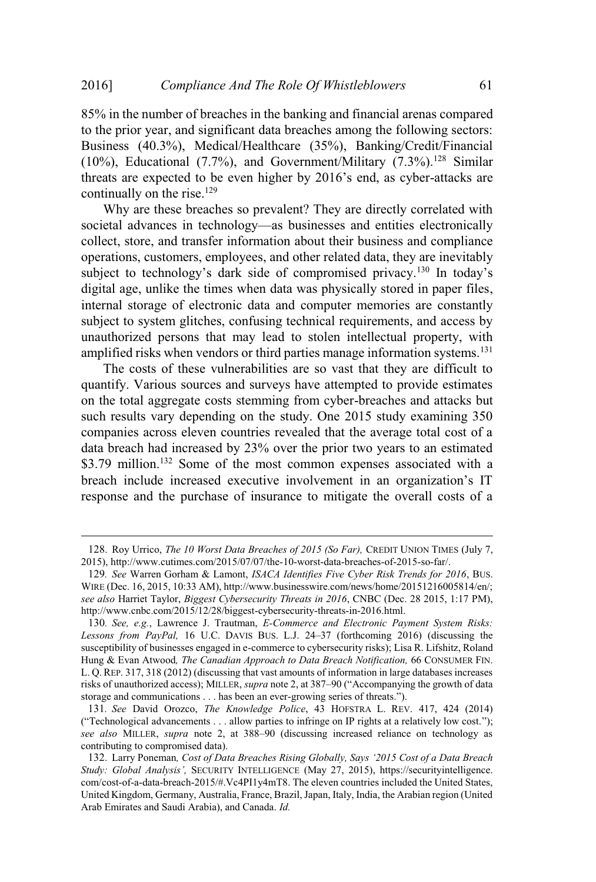85% in the number of breaches in the banking and financial arenas compared to the prior year, and significant data breaches among the following sectors: Business (40.3%), Medical/Healthcare (35%), Banking/Credit/Financial (10%), Educational (7.7%), and Government/Military (7.3%).<sup>128</sup> Similar threats are expected to be even higher by 2016's end, as cyber-attacks are continually on the rise.<sup>129</sup>

Why are these breaches so prevalent? They are directly correlated with societal advances in technology—as businesses and entities electronically collect, store, and transfer information about their business and compliance operations, customers, employees, and other related data, they are inevitably subject to technology's dark side of compromised privacy.<sup>130</sup> In today's digital age, unlike the times when data was physically stored in paper files, internal storage of electronic data and computer memories are constantly subject to system glitches, confusing technical requirements, and access by unauthorized persons that may lead to stolen intellectual property, with amplified risks when vendors or third parties manage information systems.<sup>131</sup>

The costs of these vulnerabilities are so vast that they are difficult to quantify. Various sources and surveys have attempted to provide estimates on the total aggregate costs stemming from cyber-breaches and attacks but such results vary depending on the study. One 2015 study examining 350 companies across eleven countries revealed that the average total cost of a data breach had increased by 23% over the prior two years to an estimated \$3.79 million.<sup>132</sup> Some of the most common expenses associated with a breach include increased executive involvement in an organization's IT response and the purchase of insurance to mitigate the overall costs of a

<sup>128</sup>. Roy Urrico, *The 10 Worst Data Breaches of 2015 (So Far),* CREDIT UNION TIMES (July 7, 2015), http://www.cutimes.com/2015/07/07/the-10-worst-data-breaches-of-2015-so-far/.

<sup>129</sup>*. See* Warren Gorham & Lamont, *ISACA Identifies Five Cyber Risk Trends for 2016*, BUS. WIRE (Dec. 16, 2015, 10:33 AM), http://www.businesswire.com/news/home/20151216005814/en/; *see also* Harriet Taylor, *Biggest Cybersecurity Threats in 2016*, CNBC (Dec. 28 2015, 1:17 PM), http://www.cnbc.com/2015/12/28/biggest-cybersecurity-threats-in-2016.html.

<sup>130</sup>*. See, e.g.*, Lawrence J. Trautman, *E-Commerce and Electronic Payment System Risks: Lessons from PayPal,* 16 U.C. DAVIS BUS. L.J. 24–37 (forthcoming 2016) (discussing the susceptibility of businesses engaged in e-commerce to cybersecurity risks); Lisa R. Lifshitz, Roland Hung & Evan Atwood*, The Canadian Approach to Data Breach Notification,* 66 CONSUMER FIN. L. Q. REP. 317, 318 (2012) (discussing that vast amounts of information in large databases increases risks of unauthorized access); MILLER, *supra* note 2, at 387–90 ("Accompanying the growth of data storage and communications . . . has been an ever-growing series of threats.").

<sup>131</sup>*. See* David Orozco, *The Knowledge Police*, 43 HOFSTRA L. REV. 417, 424 (2014) ("Technological advancements . . . allow parties to infringe on IP rights at a relatively low cost."); *see also* MILLER, *supra* note 2, at 388–90 (discussing increased reliance on technology as contributing to compromised data).

<sup>132</sup>. Larry Poneman*, Cost of Data Breaches Rising Globally, Says '2015 Cost of a Data Breach Study: Global Analysis',* SECURITY INTELLIGENCE (May 27, 2015), https://securityintelligence. com/cost-of-a-data-breach-2015/#.Vc4PI1y4mT8. The eleven countries included the United States, United Kingdom, Germany, Australia, France, Brazil,Japan, Italy, India, the Arabian region (United Arab Emirates and Saudi Arabia), and Canada. *Id.*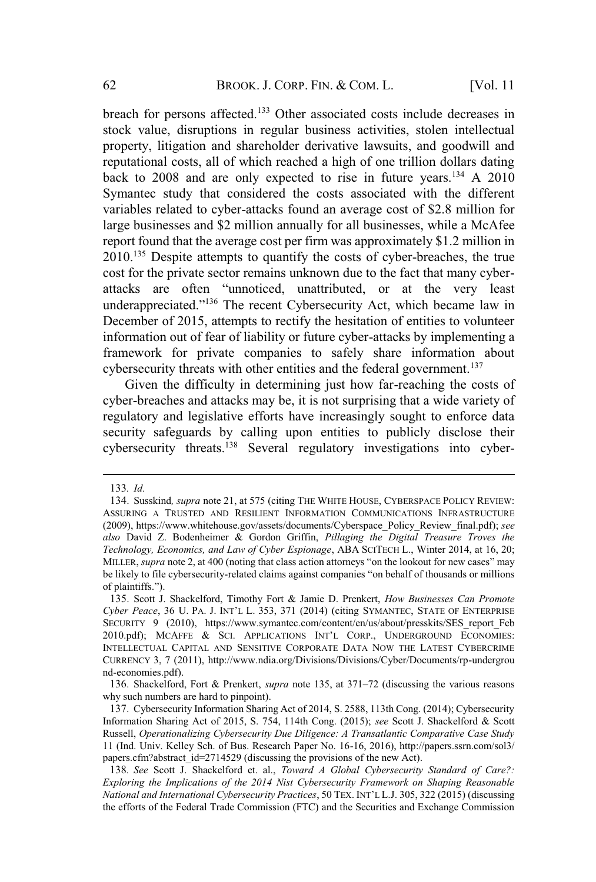breach for persons affected.<sup>133</sup> Other associated costs include decreases in stock value, disruptions in regular business activities, stolen intellectual property, litigation and shareholder derivative lawsuits, and goodwill and reputational costs, all of which reached a high of one trillion dollars dating back to 2008 and are only expected to rise in future years.<sup>134</sup> A 2010 Symantec study that considered the costs associated with the different variables related to cyber-attacks found an average cost of \$2.8 million for large businesses and \$2 million annually for all businesses, while a McAfee report found that the average cost per firm was approximately \$1.2 million in 2010.<sup>135</sup> Despite attempts to quantify the costs of cyber-breaches, the true cost for the private sector remains unknown due to the fact that many cyberattacks are often "unnoticed, unattributed, or at the very least underappreciated."<sup>136</sup> The recent Cybersecurity Act, which became law in December of 2015, attempts to rectify the hesitation of entities to volunteer information out of fear of liability or future cyber-attacks by implementing a framework for private companies to safely share information about cybersecurity threats with other entities and the federal government.<sup>137</sup>

Given the difficulty in determining just how far-reaching the costs of cyber-breaches and attacks may be, it is not surprising that a wide variety of regulatory and legislative efforts have increasingly sought to enforce data security safeguards by calling upon entities to publicly disclose their cybersecurity threats.<sup>138</sup> Several regulatory investigations into cyber-

<sup>133</sup>*. Id.*

<sup>134</sup>. Susskind*, supra* note 21, at 575 (citing THE WHITE HOUSE, CYBERSPACE POLICY REVIEW: ASSURING A TRUSTED AND RESILIENT INFORMATION COMMUNICATIONS INFRASTRUCTURE (2009), https://www.whitehouse.gov/assets/documents/Cyberspace\_Policy\_Review\_final.pdf); *see also* David Z. Bodenheimer & Gordon Griffin, *Pillaging the Digital Treasure Troves the Technology, Economics, and Law of Cyber Espionage*, ABA SCITECH L., Winter 2014, at 16, 20; MILLER, *supra* note 2, at 400 (noting that class action attorneys "on the lookout for new cases" may be likely to file cybersecurity-related claims against companies "on behalf of thousands or millions of plaintiffs.").

<sup>135</sup>. Scott J. Shackelford, Timothy Fort & Jamie D. Prenkert, *How Businesses Can Promote Cyber Peace*, 36 U. PA. J. INT'<sup>L</sup> L. 353, 371 (2014) (citing SYMANTEC, STATE OF ENTERPRISE SECURITY 9 (2010), https://www.symantec.com/content/en/us/about/presskits/SES\_report\_Feb 2010.pdf); MCAFFE & SCI. APPLICATIONS INT'L CORP., UNDERGROUND ECONOMIES: INTELLECTUAL CAPITAL AND SENSITIVE CORPORATE DATA NOW THE LATEST CYBERCRIME CURRENCY 3, 7 (2011), http://www.ndia.org/Divisions/Divisions/Cyber/Documents/rp-undergrou nd-economies.pdf).

<sup>136</sup>. Shackelford, Fort & Prenkert, *supra* note 135, at 371–72 (discussing the various reasons why such numbers are hard to pinpoint).

<sup>137</sup>. Cybersecurity Information Sharing Act of 2014, S. 2588, 113th Cong. (2014); Cybersecurity Information Sharing Act of 2015, S. 754, 114th Cong. (2015); *see* Scott J. Shackelford & Scott Russell, *Operationalizing Cybersecurity Due Diligence: A Transatlantic Comparative Case Study* 11 (Ind. Univ. Kelley Sch. of Bus. Research Paper No. 16-16, 2016), http://papers.ssrn.com/sol3/ papers.cfm?abstract\_id=2714529 (discussing the provisions of the new Act).

<sup>138</sup>*. See* Scott J. Shackelford et. al., *Toward A Global Cybersecurity Standard of Care?: Exploring the Implications of the 2014 Nist Cybersecurity Framework on Shaping Reasonable National and International Cybersecurity Practices*, 50 TEX. INT'<sup>L</sup> L.J. 305, 322 (2015) (discussing the efforts of the Federal Trade Commission (FTC) and the Securities and Exchange Commission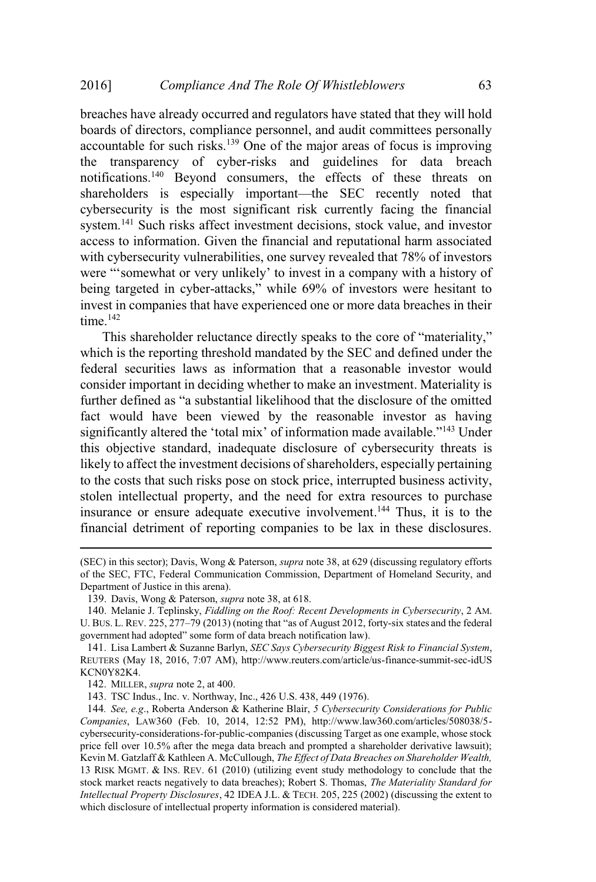breaches have already occurred and regulators have stated that they will hold boards of directors, compliance personnel, and audit committees personally accountable for such risks.<sup>139</sup> One of the major areas of focus is improving the transparency of cyber-risks and guidelines for data breach notifications.<sup>140</sup> Beyond consumers, the effects of these threats on shareholders is especially important—the SEC recently noted that cybersecurity is the most significant risk currently facing the financial system.<sup>141</sup> Such risks affect investment decisions, stock value, and investor access to information. Given the financial and reputational harm associated with cybersecurity vulnerabilities, one survey revealed that 78% of investors were "'somewhat or very unlikely' to invest in a company with a history of being targeted in cyber-attacks," while 69% of investors were hesitant to invest in companies that have experienced one or more data breaches in their time.<sup>142</sup>

This shareholder reluctance directly speaks to the core of "materiality," which is the reporting threshold mandated by the SEC and defined under the federal securities laws as information that a reasonable investor would consider important in deciding whether to make an investment. Materiality is further defined as "a substantial likelihood that the disclosure of the omitted fact would have been viewed by the reasonable investor as having significantly altered the 'total mix' of information made available."<sup>143</sup> Under this objective standard, inadequate disclosure of cybersecurity threats is likely to affect the investment decisions of shareholders, especially pertaining to the costs that such risks pose on stock price, interrupted business activity, stolen intellectual property, and the need for extra resources to purchase insurance or ensure adequate executive involvement.<sup>144</sup> Thus, it is to the financial detriment of reporting companies to be lax in these disclosures.

143. TSC Indus., Inc. v. Northway, Inc., 426 U.S. 438, 449 (1976).

<sup>(</sup>SEC) in this sector); Davis, Wong & Paterson, *supra* note 38, at 629 (discussing regulatory efforts of the SEC, FTC, Federal Communication Commission, Department of Homeland Security, and Department of Justice in this arena).

<sup>139</sup>. Davis, Wong & Paterson, *supra* note 38, at 618.

<sup>140</sup>. Melanie J. Teplinsky, *Fiddling on the Roof: Recent Developments in Cybersecurity*, 2 AM. U. BUS. L. REV. 225, 277–79 (2013) (noting that "as of August 2012, forty-six states and the federal government had adopted" some form of data breach notification law).

<sup>141</sup>. Lisa Lambert & Suzanne Barlyn, *SEC Says Cybersecurity Biggest Risk to Financial System*, REUTERS (May 18, 2016, 7:07 AM), http://www.reuters.com/article/us-finance-summit-sec-idUS KCN0Y82K4.

<sup>142</sup>. MILLER, *supra* note 2, at 400.

<sup>144</sup>*. See, e.g*., Roberta Anderson & Katherine Blair, *5 Cybersecurity Considerations for Public Companies*, LAW360 (Feb. 10, 2014, 12:52 PM), http://www.law360.com/articles/508038/5 cybersecurity-considerations-for-public-companies (discussing Target as one example, whose stock price fell over 10.5% after the mega data breach and prompted a shareholder derivative lawsuit); Kevin M. Gatzlaff & Kathleen A. McCullough, *The Effect of Data Breaches on Shareholder Wealth,* 13 RISK MGMT. & INS. REV. 61 (2010) (utilizing event study methodology to conclude that the stock market reacts negatively to data breaches); Robert S. Thomas, *The Materiality Standard for Intellectual Property Disclosures*, 42 IDEA J.L. & TECH. 205, 225 (2002) (discussing the extent to which disclosure of intellectual property information is considered material).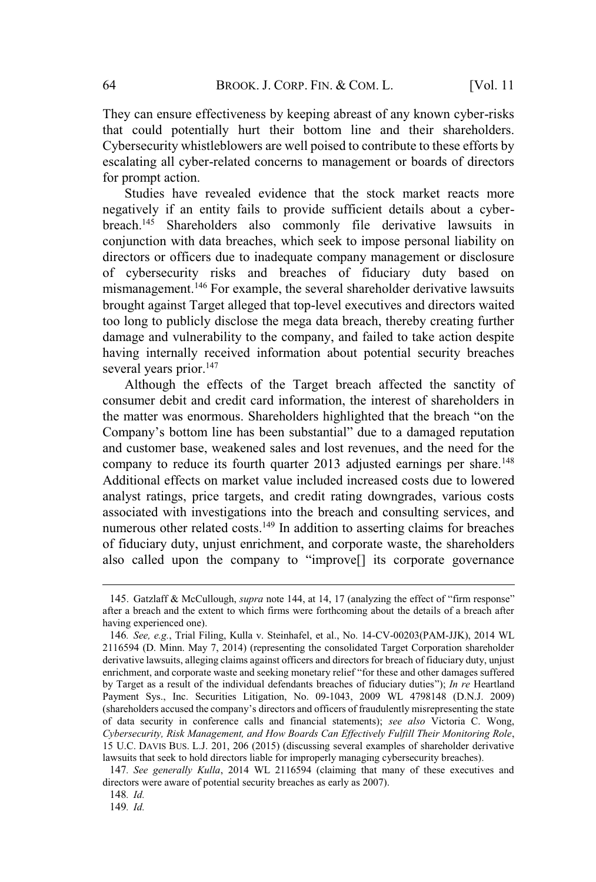They can ensure effectiveness by keeping abreast of any known cyber-risks that could potentially hurt their bottom line and their shareholders. Cybersecurity whistleblowers are well poised to contribute to these efforts by escalating all cyber-related concerns to management or boards of directors for prompt action.

Studies have revealed evidence that the stock market reacts more negatively if an entity fails to provide sufficient details about a cyberbreach.<sup>145</sup> Shareholders also commonly file derivative lawsuits in conjunction with data breaches, which seek to impose personal liability on directors or officers due to inadequate company management or disclosure of cybersecurity risks and breaches of fiduciary duty based on mismanagement.<sup>146</sup> For example, the several shareholder derivative lawsuits brought against Target alleged that top-level executives and directors waited too long to publicly disclose the mega data breach, thereby creating further damage and vulnerability to the company, and failed to take action despite having internally received information about potential security breaches several years prior.<sup>147</sup>

Although the effects of the Target breach affected the sanctity of consumer debit and credit card information, the interest of shareholders in the matter was enormous. Shareholders highlighted that the breach "on the Company's bottom line has been substantial" due to a damaged reputation and customer base, weakened sales and lost revenues, and the need for the company to reduce its fourth quarter 2013 adjusted earnings per share.<sup>148</sup> Additional effects on market value included increased costs due to lowered analyst ratings, price targets, and credit rating downgrades, various costs associated with investigations into the breach and consulting services, and numerous other related costs.<sup>149</sup> In addition to asserting claims for breaches of fiduciary duty, unjust enrichment, and corporate waste, the shareholders also called upon the company to "improve[] its corporate governance

149*. Id.*

<sup>145</sup>. Gatzlaff & McCullough, *supra* note 144, at 14, 17 (analyzing the effect of "firm response" after a breach and the extent to which firms were forthcoming about the details of a breach after having experienced one).

<sup>146</sup>*. See, e.g.*, Trial Filing, Kulla v. Steinhafel, et al., No. 14-CV-00203(PAM-JJK), 2014 WL 2116594 (D. Minn. May 7, 2014) (representing the consolidated Target Corporation shareholder derivative lawsuits, alleging claims against officers and directors for breach of fiduciary duty, unjust enrichment, and corporate waste and seeking monetary relief "for these and other damages suffered by Target as a result of the individual defendants breaches of fiduciary duties"); *In re* Heartland Payment Sys., Inc. Securities Litigation, No. 09-1043, 2009 WL 4798148 (D.N.J. 2009) (shareholders accused the company's directors and officers of fraudulently misrepresenting the state of data security in conference calls and financial statements); *see also* Victoria C. Wong, *Cybersecurity, Risk Management, and How Boards Can Effectively Fulfill Their Monitoring Role*, 15 U.C. DAVIS BUS. L.J. 201, 206 (2015) (discussing several examples of shareholder derivative lawsuits that seek to hold directors liable for improperly managing cybersecurity breaches).

<sup>147</sup>*. See generally Kulla*, 2014 WL 2116594 (claiming that many of these executives and directors were aware of potential security breaches as early as 2007).

<sup>148</sup>*. Id.*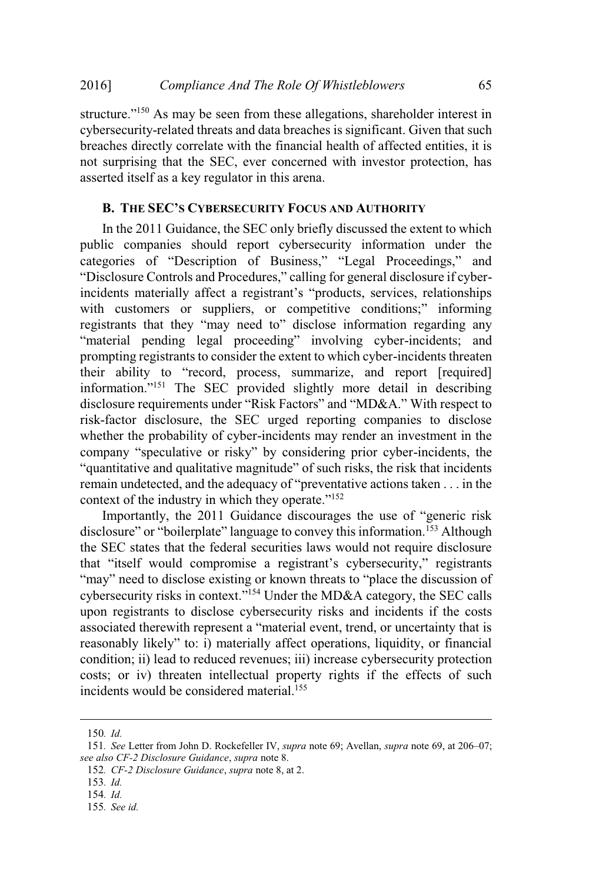structure."<sup>150</sup> As may be seen from these allegations, shareholder interest in cybersecurity-related threats and data breaches is significant. Given that such breaches directly correlate with the financial health of affected entities, it is not surprising that the SEC, ever concerned with investor protection, has asserted itself as a key regulator in this arena.

#### **B. THE SEC'<sup>S</sup> CYBERSECURITY FOCUS AND AUTHORITY**

In the 2011 Guidance, the SEC only briefly discussed the extent to which public companies should report cybersecurity information under the categories of "Description of Business," "Legal Proceedings," and "Disclosure Controls and Procedures," calling for general disclosure if cyberincidents materially affect a registrant's "products, services, relationships with customers or suppliers, or competitive conditions;" informing registrants that they "may need to" disclose information regarding any "material pending legal proceeding" involving cyber-incidents; and prompting registrants to consider the extent to which cyber-incidents threaten their ability to "record, process, summarize, and report [required] information."<sup>151</sup> The SEC provided slightly more detail in describing disclosure requirements under "Risk Factors" and "MD&A." With respect to risk-factor disclosure, the SEC urged reporting companies to disclose whether the probability of cyber-incidents may render an investment in the company "speculative or risky" by considering prior cyber-incidents, the "quantitative and qualitative magnitude" of such risks, the risk that incidents remain undetected, and the adequacy of "preventative actions taken . . . in the context of the industry in which they operate."<sup>152</sup>

Importantly, the 2011 Guidance discourages the use of "generic risk disclosure" or "boilerplate" language to convey this information.<sup>153</sup> Although the SEC states that the federal securities laws would not require disclosure that "itself would compromise a registrant's cybersecurity," registrants "may" need to disclose existing or known threats to "place the discussion of cybersecurity risks in context."<sup>154</sup> Under the MD&A category, the SEC calls upon registrants to disclose cybersecurity risks and incidents if the costs associated therewith represent a "material event, trend, or uncertainty that is reasonably likely" to: i) materially affect operations, liquidity, or financial condition; ii) lead to reduced revenues; iii) increase cybersecurity protection costs; or iv) threaten intellectual property rights if the effects of such incidents would be considered material.<sup>155</sup>

<sup>150</sup>*. Id.*

<sup>151</sup>*. See* Letter from John D. Rockefeller IV, *supra* note 69; Avellan, *supra* note 69, at 206–07; *see also CF-2 Disclosure Guidance*, *supra* note 8.

<sup>152</sup>*. CF-2 Disclosure Guidance*, *supra* note 8, at 2.

<sup>153</sup>*. Id.*

<sup>154</sup>*. Id.*

<sup>155</sup>*. See id.*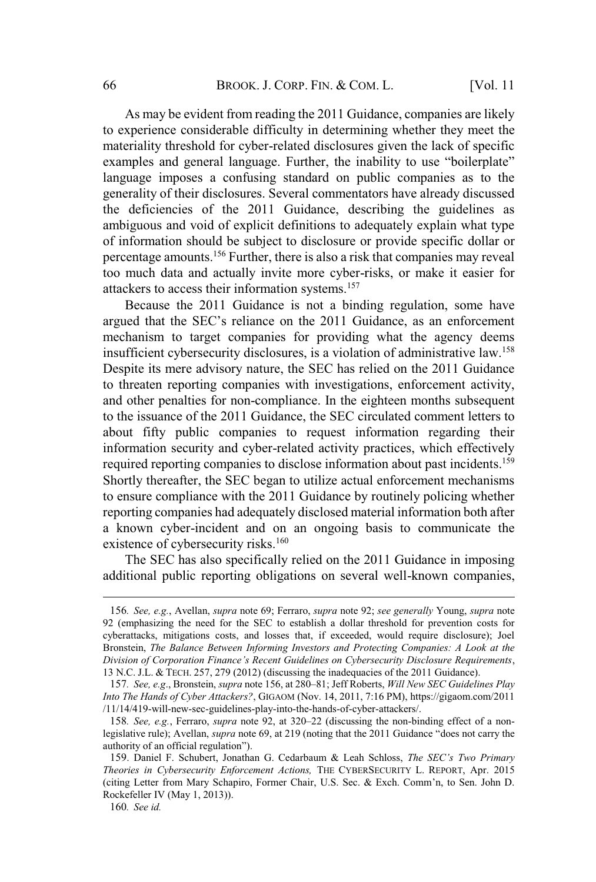As may be evident from reading the 2011 Guidance, companies are likely to experience considerable difficulty in determining whether they meet the materiality threshold for cyber-related disclosures given the lack of specific examples and general language. Further, the inability to use "boilerplate" language imposes a confusing standard on public companies as to the generality of their disclosures. Several commentators have already discussed the deficiencies of the 2011 Guidance, describing the guidelines as ambiguous and void of explicit definitions to adequately explain what type of information should be subject to disclosure or provide specific dollar or percentage amounts.<sup>156</sup> Further, there is also a risk that companies may reveal too much data and actually invite more cyber-risks, or make it easier for attackers to access their information systems.<sup>157</sup>

Because the 2011 Guidance is not a binding regulation, some have argued that the SEC's reliance on the 2011 Guidance, as an enforcement mechanism to target companies for providing what the agency deems insufficient cybersecurity disclosures, is a violation of administrative law.<sup>158</sup> Despite its mere advisory nature, the SEC has relied on the 2011 Guidance to threaten reporting companies with investigations, enforcement activity, and other penalties for non-compliance. In the eighteen months subsequent to the issuance of the 2011 Guidance, the SEC circulated comment letters to about fifty public companies to request information regarding their information security and cyber-related activity practices, which effectively required reporting companies to disclose information about past incidents.<sup>159</sup> Shortly thereafter, the SEC began to utilize actual enforcement mechanisms to ensure compliance with the 2011 Guidance by routinely policing whether reporting companies had adequately disclosed material information both after a known cyber-incident and on an ongoing basis to communicate the existence of cybersecurity risks.<sup>160</sup>

The SEC has also specifically relied on the 2011 Guidance in imposing additional public reporting obligations on several well-known companies,

<sup>156</sup>*. See, e.g.*, Avellan, *supra* note 69; Ferraro, *supra* note 92; *see generally* Young, *supra* note 92 (emphasizing the need for the SEC to establish a dollar threshold for prevention costs for cyberattacks, mitigations costs, and losses that, if exceeded, would require disclosure); Joel Bronstein, *The Balance Between Informing Investors and Protecting Companies: A Look at the Division of Corporation Finance's Recent Guidelines on Cybersecurity Disclosure Requirements*, 13 N.C. J.L. & TECH. 257, 279 (2012) (discussing the inadequacies of the 2011 Guidance).

<sup>157</sup>*. See, e.g*., Bronstein, *supra* note 156, at 280–81; Jeff Roberts, *Will New SEC Guidelines Play Into The Hands of Cyber Attackers?*, GIGAOM (Nov. 14, 2011, 7:16 PM), https://gigaom.com/2011 /11/14/419-will-new-sec-guidelines-play-into-the-hands-of-cyber-attackers/.

<sup>158</sup>*. See, e.g.*, Ferraro, *supra* note 92, at 320–22 (discussing the non-binding effect of a nonlegislative rule); Avellan, *supra* note 69, at 219 (noting that the 2011 Guidance "does not carry the authority of an official regulation").

<sup>159</sup>. Daniel F. Schubert, Jonathan G. Cedarbaum & Leah Schloss, *The SEC's Two Primary Theories in Cybersecurity Enforcement Actions,* THE CYBERSECURITY L. REPORT, Apr. 2015 (citing Letter from Mary Schapiro, Former Chair, U.S. Sec. & Exch. Comm'n, to Sen. John D. Rockefeller IV (May 1, 2013)).

<sup>160</sup>*. See id.*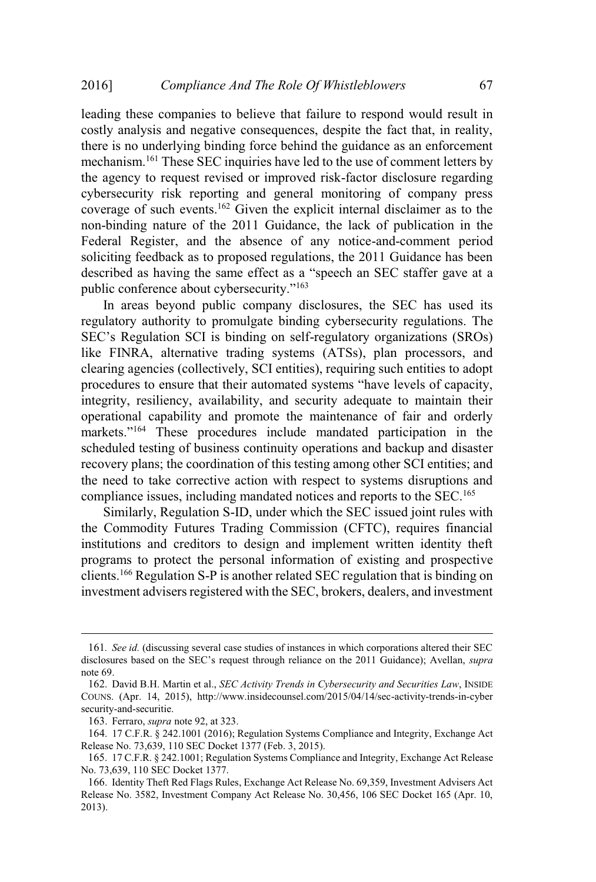leading these companies to believe that failure to respond would result in costly analysis and negative consequences, despite the fact that, in reality, there is no underlying binding force behind the guidance as an enforcement mechanism.<sup>161</sup> These SEC inquiries have led to the use of comment letters by the agency to request revised or improved risk-factor disclosure regarding cybersecurity risk reporting and general monitoring of company press coverage of such events.<sup>162</sup> Given the explicit internal disclaimer as to the non-binding nature of the 2011 Guidance, the lack of publication in the Federal Register, and the absence of any notice-and-comment period soliciting feedback as to proposed regulations, the 2011 Guidance has been described as having the same effect as a "speech an SEC staffer gave at a public conference about cybersecurity."<sup>163</sup>

In areas beyond public company disclosures, the SEC has used its regulatory authority to promulgate binding cybersecurity regulations. The SEC's Regulation SCI is binding on self-regulatory organizations (SROs) like FINRA, alternative trading systems (ATSs), plan processors, and clearing agencies (collectively, SCI entities), requiring such entities to adopt procedures to ensure that their automated systems "have levels of capacity, integrity, resiliency, availability, and security adequate to maintain their operational capability and promote the maintenance of fair and orderly markets."<sup>164</sup> These procedures include mandated participation in the scheduled testing of business continuity operations and backup and disaster recovery plans; the coordination of this testing among other SCI entities; and the need to take corrective action with respect to systems disruptions and compliance issues, including mandated notices and reports to the SEC.<sup>165</sup>

Similarly, Regulation S-ID, under which the SEC issued joint rules with the Commodity Futures Trading Commission (CFTC), requires financial institutions and creditors to design and implement written identity theft programs to protect the personal information of existing and prospective clients.<sup>166</sup> Regulation S-P is another related SEC regulation that is binding on investment advisers registered with the SEC, brokers, dealers, and investment

<sup>161</sup>*. See id.* (discussing several case studies of instances in which corporations altered their SEC disclosures based on the SEC's request through reliance on the 2011 Guidance); Avellan, *supra* note 69.

<sup>162</sup>. David B.H. Martin et al., *SEC Activity Trends in Cybersecurity and Securities Law*, INSIDE COUNS. (Apr. 14, 2015), http://www.insidecounsel.com/2015/04/14/sec-activity-trends-in-cyber security-and-securitie.

<sup>163</sup>. Ferraro, *supra* note 92, at 323.

<sup>164</sup>. 17 C.F.R. § 242.1001 (2016); Regulation Systems Compliance and Integrity, Exchange Act Release No. 73,639, 110 SEC Docket 1377 (Feb. 3, 2015).

<sup>165</sup>. 17 C.F.R. § 242.1001; Regulation Systems Compliance and Integrity, Exchange Act Release No. 73,639, 110 SEC Docket 1377.

<sup>166</sup>. Identity Theft Red Flags Rules, Exchange Act Release No. 69,359, Investment Advisers Act Release No. 3582, Investment Company Act Release No. 30,456, 106 SEC Docket 165 (Apr. 10, 2013).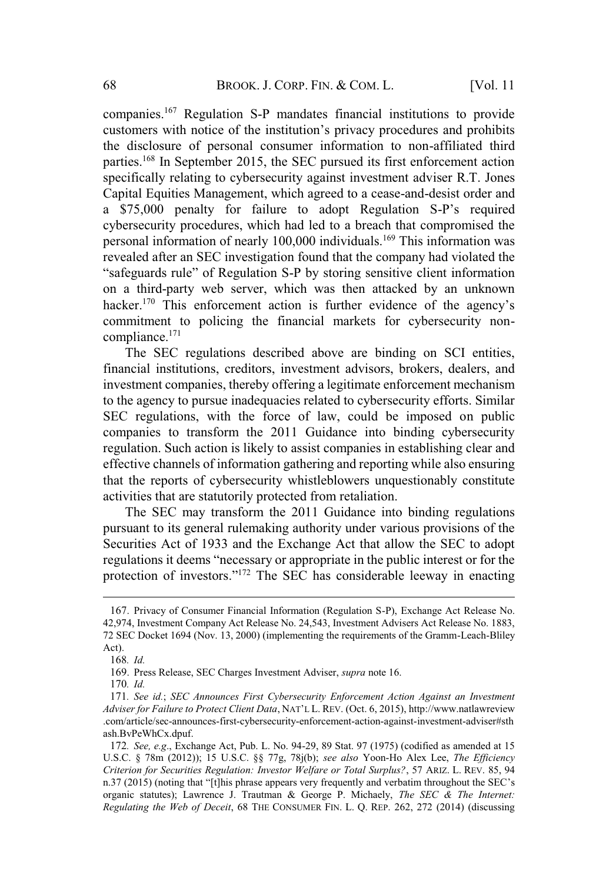companies.<sup>167</sup> Regulation S-P mandates financial institutions to provide customers with notice of the institution's privacy procedures and prohibits the disclosure of personal consumer information to non-affiliated third parties.<sup>168</sup> In September 2015, the SEC pursued its first enforcement action specifically relating to cybersecurity against investment adviser R.T. Jones Capital Equities Management, which agreed to a cease-and-desist order and a \$75,000 penalty for failure to adopt Regulation S-P's required cybersecurity procedures, which had led to a breach that compromised the personal information of nearly 100,000 individuals.<sup>169</sup> This information was revealed after an SEC investigation found that the company had violated the "safeguards rule" of Regulation S-P by storing sensitive client information on a third-party web server, which was then attacked by an unknown hacker.<sup>170</sup> This enforcement action is further evidence of the agency's commitment to policing the financial markets for cybersecurity noncompliance.<sup>171</sup>

The SEC regulations described above are binding on SCI entities, financial institutions, creditors, investment advisors, brokers, dealers, and investment companies, thereby offering a legitimate enforcement mechanism to the agency to pursue inadequacies related to cybersecurity efforts. Similar SEC regulations, with the force of law, could be imposed on public companies to transform the 2011 Guidance into binding cybersecurity regulation. Such action is likely to assist companies in establishing clear and effective channels of information gathering and reporting while also ensuring that the reports of cybersecurity whistleblowers unquestionably constitute activities that are statutorily protected from retaliation.

The SEC may transform the 2011 Guidance into binding regulations pursuant to its general rulemaking authority under various provisions of the Securities Act of 1933 and the Exchange Act that allow the SEC to adopt regulations it deems "necessary or appropriate in the public interest or for the protection of investors."<sup>172</sup> The SEC has considerable leeway in enacting

<sup>167</sup>. Privacy of Consumer Financial Information (Regulation S-P), Exchange Act Release No. 42,974, Investment Company Act Release No. 24,543, Investment Advisers Act Release No. 1883, 72 SEC Docket 1694 (Nov. 13, 2000) (implementing the requirements of the Gramm-Leach-Bliley Act).

<sup>168</sup>*. Id.*

<sup>169</sup>. Press Release, SEC Charges Investment Adviser, *supra* note 16.

<sup>170</sup>*. Id.*

<sup>171</sup>*. See id.*; *SEC Announces First Cybersecurity Enforcement Action Against an Investment Adviser for Failure to Protect Client Data*, NAT'<sup>L</sup> L. REV. (Oct. 6, 2015), http://www.natlawreview .com/article/sec-announces-first-cybersecurity-enforcement-action-against-investment-adviser#sth ash.BvPeWhCx.dpuf.

<sup>172</sup>*. See, e.g*., Exchange Act, Pub. L. No. 94-29, 89 Stat. 97 (1975) (codified as amended at 15 U.S.C. § 78m (2012)); 15 U.S.C. §§ 77g, 78j(b); *see also* Yoon-Ho Alex Lee, *The Efficiency Criterion for Securities Regulation: Investor Welfare or Total Surplus?*, 57 ARIZ. L. REV. 85, 94 n.37 (2015) (noting that "[t]his phrase appears very frequently and verbatim throughout the SEC's organic statutes); Lawrence J. Trautman & George P. Michaely, *The SEC & The Internet: Regulating the Web of Deceit*, 68 THE CONSUMER FIN. L. Q. REP. 262, 272 (2014) (discussing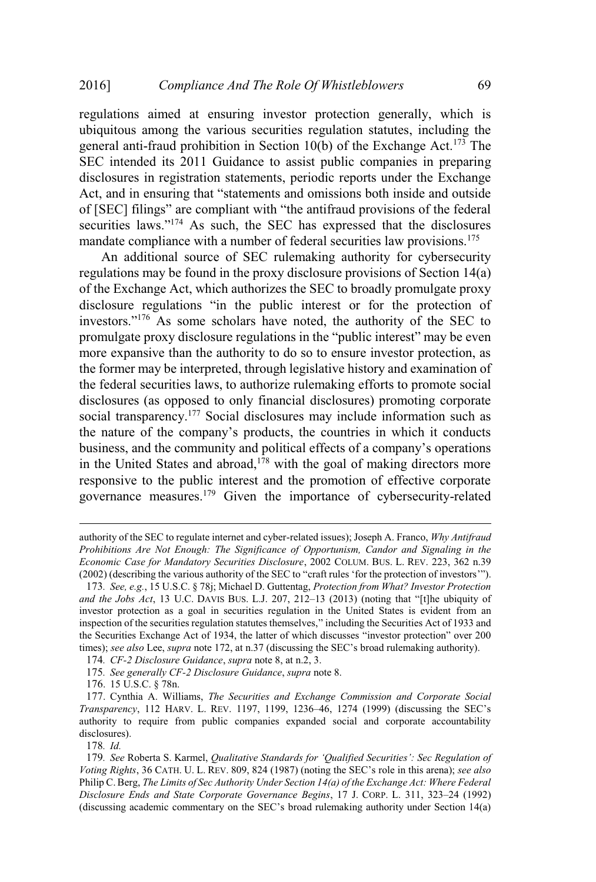regulations aimed at ensuring investor protection generally, which is ubiquitous among the various securities regulation statutes, including the general anti-fraud prohibition in Section 10(b) of the Exchange Act.<sup>173</sup> The SEC intended its 2011 Guidance to assist public companies in preparing disclosures in registration statements, periodic reports under the Exchange Act, and in ensuring that "statements and omissions both inside and outside of [SEC] filings" are compliant with "the antifraud provisions of the federal securities laws."<sup>174</sup> As such, the SEC has expressed that the disclosures mandate compliance with a number of federal securities law provisions.<sup>175</sup>

An additional source of SEC rulemaking authority for cybersecurity regulations may be found in the proxy disclosure provisions of Section 14(a) of the Exchange Act, which authorizes the SEC to broadly promulgate proxy disclosure regulations "in the public interest or for the protection of investors."<sup>176</sup> As some scholars have noted, the authority of the SEC to promulgate proxy disclosure regulations in the "public interest" may be even more expansive than the authority to do so to ensure investor protection, as the former may be interpreted, through legislative history and examination of the federal securities laws, to authorize rulemaking efforts to promote social disclosures (as opposed to only financial disclosures) promoting corporate social transparency.<sup>177</sup> Social disclosures may include information such as the nature of the company's products, the countries in which it conducts business, and the community and political effects of a company's operations in the United States and abroad, $1^{78}$  with the goal of making directors more responsive to the public interest and the promotion of effective corporate governance measures.<sup>179</sup> Given the importance of cybersecurity-related

176. 15 U.S.C. § 78n.

178*. Id.*

authority of the SEC to regulate internet and cyber-related issues); Joseph A. Franco, *Why Antifraud Prohibitions Are Not Enough: The Significance of Opportunism, Candor and Signaling in the Economic Case for Mandatory Securities Disclosure*, 2002 COLUM. BUS. L. REV. 223, 362 n.39 (2002) (describing the various authority of the SEC to "craft rules 'for the protection of investors'").

<sup>173</sup>*. See, e.g.*, 15 U.S.C. § 78j; Michael D. Guttentag, *Protection from What? Investor Protection and the Jobs Act*, 13 U.C. DAVIS BUS. L.J. 207, 212–13 (2013) (noting that "[t]he ubiquity of investor protection as a goal in securities regulation in the United States is evident from an inspection of the securities regulation statutes themselves," including the Securities Act of 1933 and the Securities Exchange Act of 1934, the latter of which discusses "investor protection" over 200 times); *see also* Lee, *supra* note 172, at n.37 (discussing the SEC's broad rulemaking authority).

<sup>174</sup>*. CF-2 Disclosure Guidance*, *supra* note 8, at n.2, 3.

<sup>175</sup>*. See generally CF-2 Disclosure Guidance*, *supra* note 8.

<sup>177</sup>. Cynthia A. Williams, *The Securities and Exchange Commission and Corporate Social Transparency*, 112 HARV. L. REV. 1197, 1199, 1236–46, 1274 (1999) (discussing the SEC's authority to require from public companies expanded social and corporate accountability disclosures).

<sup>179</sup>*. See* Roberta S. Karmel, *Qualitative Standards for 'Qualified Securities': Sec Regulation of Voting Rights*, 36 CATH. U. L. REV. 809, 824 (1987) (noting the SEC's role in this arena); *see also* Philip C. Berg, *The Limits of Sec Authority Under Section 14(a) of the Exchange Act: Where Federal Disclosure Ends and State Corporate Governance Begins*, 17 J. CORP. L. 311, 323–24 (1992) (discussing academic commentary on the SEC's broad rulemaking authority under Section 14(a)